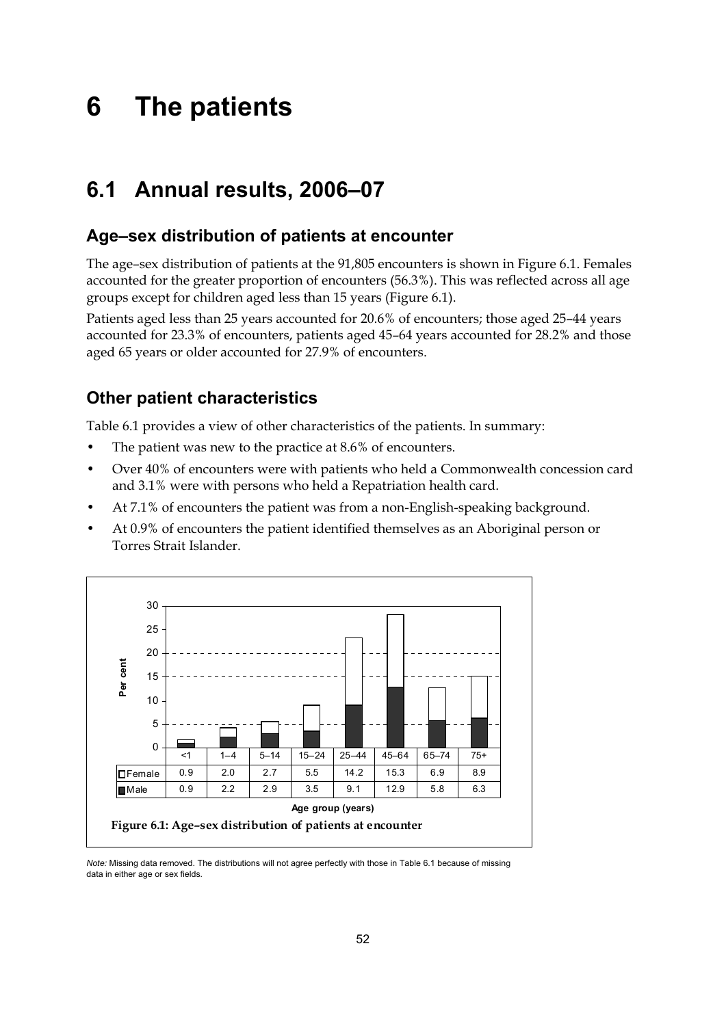# **6 The patients**

# **6.1 Annual results, 2006–07**

# **Age–sex distribution of patients at encounter**

The age–sex distribution of patients at the 91,805 encounters is shown in Figure 6.1. Females accounted for the greater proportion of encounters (56.3%). This was reflected across all age groups except for children aged less than 15 years (Figure 6.1).

Patients aged less than 25 years accounted for 20.6% of encounters; those aged 25–44 years accounted for 23.3% of encounters, patients aged 45–64 years accounted for 28.2% and those aged 65 years or older accounted for 27.9% of encounters.

# **Other patient characteristics**

Table 6.1 provides a view of other characteristics of the patients. In summary:

- The patient was new to the practice at 8.6% of encounters.
- Over 40% of encounters were with patients who held a Commonwealth concession card and 3.1% were with persons who held a Repatriation health card.
- At 7.1% of encounters the patient was from a non-English-speaking background.
- At 0.9% of encounters the patient identified themselves as an Aboriginal person or Torres Strait Islander.



*Note:* Missing data removed. The distributions will not agree perfectly with those in Table 6.1 because of missing data in either age or sex fields*.*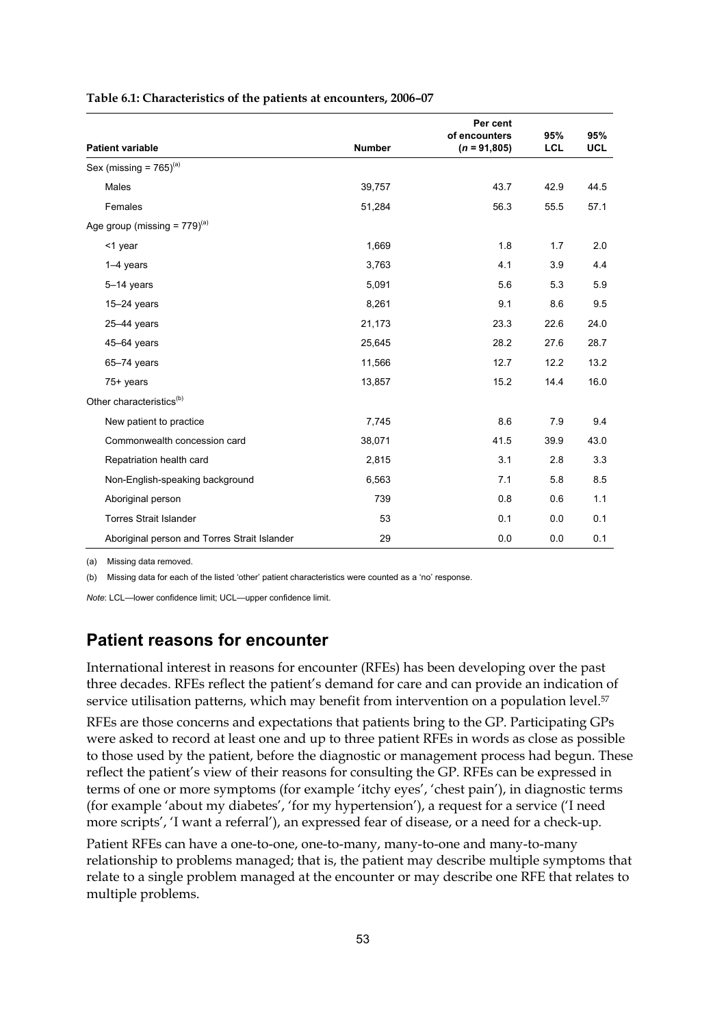|                                              |               | Per cent<br>of encounters | 95%        | 95%        |
|----------------------------------------------|---------------|---------------------------|------------|------------|
| <b>Patient variable</b>                      | <b>Number</b> | $(n = 91,805)$            | <b>LCL</b> | <b>UCL</b> |
| Sex (missing = $765$ ) <sup>(a)</sup>        |               |                           |            |            |
| Males                                        | 39,757        | 43.7                      | 42.9       | 44.5       |
| Females                                      | 51,284        | 56.3                      | 55.5       | 57.1       |
| Age group (missing = $779$ ) <sup>(a)</sup>  |               |                           |            |            |
| $<$ 1 year                                   | 1,669         | 1.8                       | 1.7        | 2.0        |
| $1-4$ years                                  | 3,763         | 4.1                       | 3.9        | 4.4        |
| $5-14$ years                                 | 5,091         | 5.6                       | 5.3        | 5.9        |
| $15-24$ years                                | 8,261         | 9.1                       | 8.6        | 9.5        |
| 25-44 years                                  | 21,173        | 23.3                      | 22.6       | 24.0       |
| $45-64$ years                                | 25,645        | 28.2                      | 27.6       | 28.7       |
| $65-74$ years                                | 11,566        | 12.7                      | 12.2       | 13.2       |
| 75+ years                                    | 13,857        | 15.2                      | 14.4       | 16.0       |
| Other characteristics <sup>(b)</sup>         |               |                           |            |            |
| New patient to practice                      | 7,745         | 8.6                       | 7.9        | 9.4        |
| Commonwealth concession card                 | 38,071        | 41.5                      | 39.9       | 43.0       |
| Repatriation health card                     | 2,815         | 3.1                       | 2.8        | 3.3        |
| Non-English-speaking background              | 6,563         | 7.1                       | 5.8        | 8.5        |
| Aboriginal person                            | 739           | 0.8                       | 0.6        | 1.1        |
| <b>Torres Strait Islander</b>                | 53            | 0.1                       | 0.0        | 0.1        |
| Aboriginal person and Torres Strait Islander | 29            | 0.0                       | 0.0        | 0.1        |

**Table 6.1: Characteristics of the patients at encounters, 2006–07** 

(a) Missing data removed.

(b) Missing data for each of the listed 'other' patient characteristics were counted as a 'no' response.

*Note*: LCL—lower confidence limit; UCL—upper confidence limit.

## **Patient reasons for encounter**

International interest in reasons for encounter (RFEs) has been developing over the past three decades. RFEs reflect the patient's demand for care and can provide an indication of service utilisation patterns, which may benefit from intervention on a population level.<sup>57</sup>

RFEs are those concerns and expectations that patients bring to the GP. Participating GPs were asked to record at least one and up to three patient RFEs in words as close as possible to those used by the patient, before the diagnostic or management process had begun. These reflect the patient's view of their reasons for consulting the GP. RFEs can be expressed in terms of one or more symptoms (for example 'itchy eyes', 'chest pain'), in diagnostic terms (for example 'about my diabetes', 'for my hypertension'), a request for a service ('I need more scripts', 'I want a referral'), an expressed fear of disease, or a need for a check-up.

Patient RFEs can have a one-to-one, one-to-many, many-to-one and many-to-many relationship to problems managed; that is, the patient may describe multiple symptoms that relate to a single problem managed at the encounter or may describe one RFE that relates to multiple problems.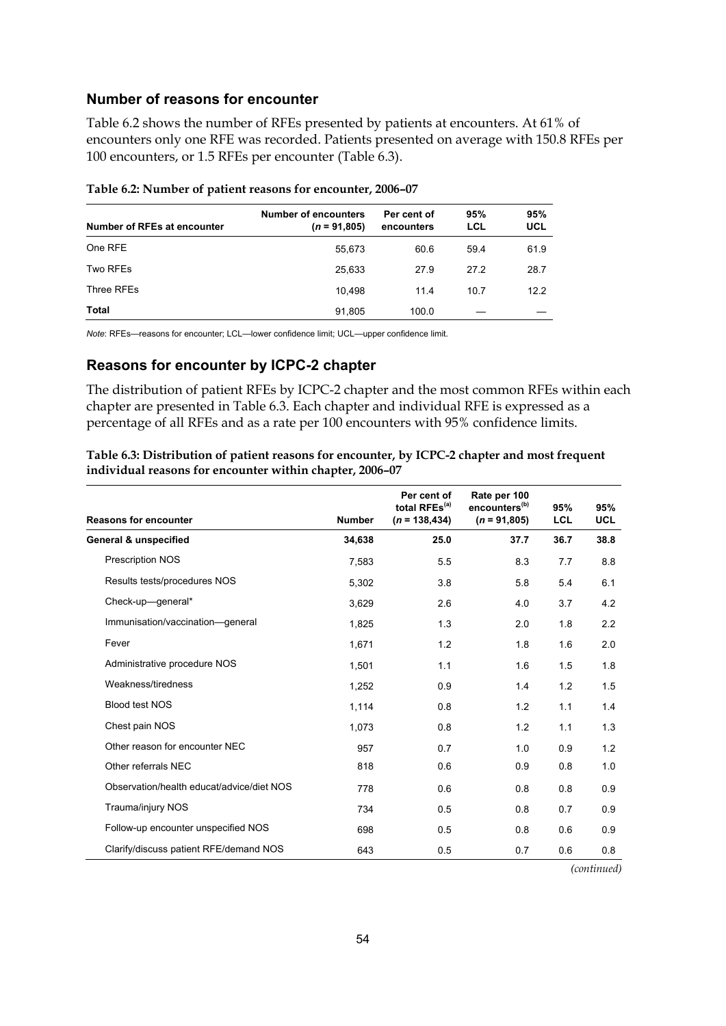### **Number of reasons for encounter**

Table 6.2 shows the number of RFEs presented by patients at encounters. At 61% of encounters only one RFE was recorded. Patients presented on average with 150.8 RFEs per 100 encounters, or 1.5 RFEs per encounter (Table 6.3).

| Number of RFEs at encounter | <b>Number of encounters</b><br>$(n = 91,805)$ | Per cent of<br>encounters | 95%<br>LCL | 95%<br>UCL |
|-----------------------------|-----------------------------------------------|---------------------------|------------|------------|
| One RFE                     | 55,673                                        | 60.6                      | 59.4       | 61.9       |
| Two RFEs                    | 25,633                                        | 27.9                      | 27.2       | 28.7       |
| Three RFEs                  | 10.498                                        | 11.4                      | 10.7       | 12.2       |
| <b>Total</b>                | 91,805                                        | 100.0                     |            |            |

#### **Table 6.2: Number of patient reasons for encounter, 2006–07**

*Note*: RFEs—reasons for encounter; LCL—lower confidence limit; UCL—upper confidence limit.

#### **Reasons for encounter by ICPC-2 chapter**

The distribution of patient RFEs by ICPC-2 chapter and the most common RFEs within each chapter are presented in Table 6.3. Each chapter and individual RFE is expressed as a percentage of all RFEs and as a rate per 100 encounters with 95% confidence limits.

| Table 6.3: Distribution of patient reasons for encounter, by ICPC-2 chapter and most frequent |
|-----------------------------------------------------------------------------------------------|
| individual reasons for encounter within chapter, 2006-07                                      |

| <b>Reasons for encounter</b>              | <b>Number</b> | Per cent of<br>total RFEs <sup>(a)</sup><br>$(n = 138, 434)$ | Rate per 100<br>encounters <sup>(b)</sup><br>$(n = 91,805)$ | 95%<br><b>LCL</b> | 95%<br><b>UCL</b> |
|-------------------------------------------|---------------|--------------------------------------------------------------|-------------------------------------------------------------|-------------------|-------------------|
| <b>General &amp; unspecified</b>          | 34,638        | 25.0                                                         | 37.7                                                        | 36.7              | 38.8              |
| Prescription NOS                          | 7,583         | 5.5                                                          | 8.3                                                         | 7.7               | 8.8               |
| Results tests/procedures NOS              | 5.302         | 3.8                                                          | 5.8                                                         | 5.4               | 6.1               |
| Check-up-general*                         | 3,629         | 2.6                                                          | 4.0                                                         | 3.7               | 4.2               |
| Immunisation/vaccination-qeneral          | 1,825         | 1.3                                                          | 2.0                                                         | 1.8               | 2.2               |
| Fever                                     | 1,671         | 1.2                                                          | 1.8                                                         | 1.6               | 2.0               |
| Administrative procedure NOS              | 1,501         | 1.1                                                          | 1.6                                                         | 1.5               | 1.8               |
| Weakness/tiredness                        | 1,252         | 0.9                                                          | 1.4                                                         | 1.2               | 1.5               |
| <b>Blood test NOS</b>                     | 1,114         | 0.8                                                          | 1.2                                                         | 1.1               | 1.4               |
| Chest pain NOS                            | 1,073         | 0.8                                                          | 1.2                                                         | 1.1               | 1.3               |
| Other reason for encounter NEC            | 957           | 0.7                                                          | 1.0                                                         | 0.9               | 1.2               |
| Other referrals NEC                       | 818           | 0.6                                                          | 0.9                                                         | 0.8               | 1.0               |
| Observation/health educat/advice/diet NOS | 778           | 0.6                                                          | 0.8                                                         | 0.8               | 0.9               |
| Trauma/injury NOS                         | 734           | 0.5                                                          | 0.8                                                         | 0.7               | 0.9               |
| Follow-up encounter unspecified NOS       | 698           | 0.5                                                          | 0.8                                                         | 0.6               | 0.9               |
| Clarify/discuss patient RFE/demand NOS    | 643           | 0.5                                                          | 0.7                                                         | 0.6               | 0.8               |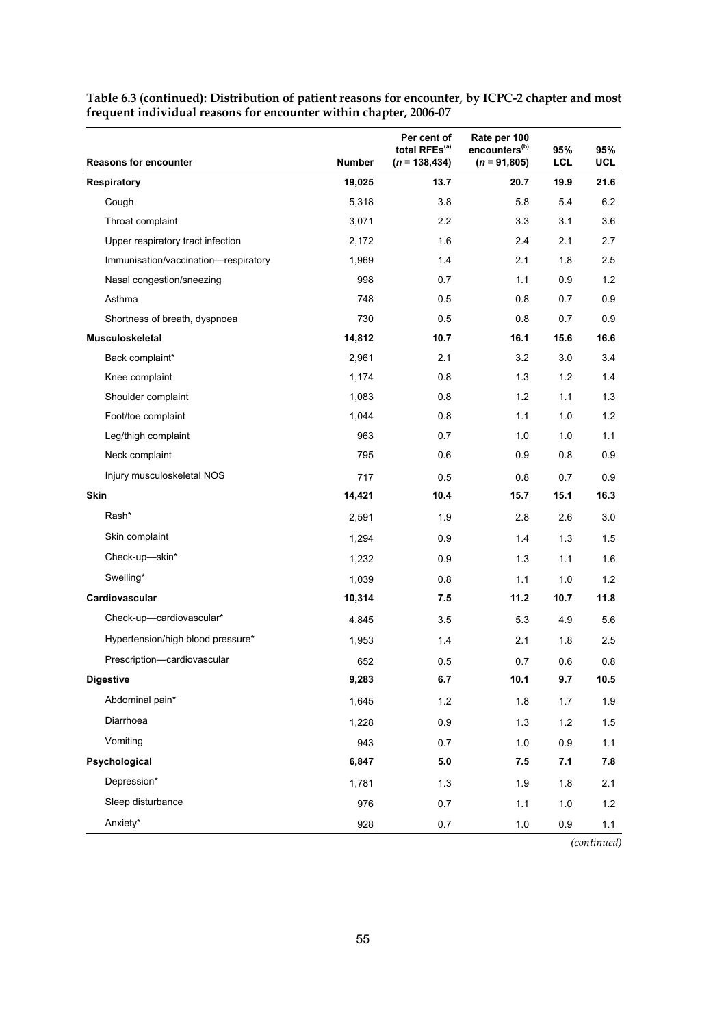|                                      |               | Per cent of<br>total RFEs <sup>(a)</sup> | Rate per 100<br>encounters <sup>(b)</sup> | 95%   | 95%  |
|--------------------------------------|---------------|------------------------------------------|-------------------------------------------|-------|------|
| <b>Reasons for encounter</b>         | <b>Number</b> | $(n = 138, 434)$                         | $(n = 91,805)$                            | LCL   | UCL  |
| <b>Respiratory</b>                   | 19,025        | 13.7                                     | 20.7                                      | 19.9  | 21.6 |
| Cough                                | 5,318         | 3.8                                      | 5.8                                       | 5.4   | 6.2  |
| Throat complaint                     | 3,071         | 2.2                                      | 3.3                                       | 3.1   | 3.6  |
| Upper respiratory tract infection    | 2,172         | 1.6                                      | 2.4                                       | 2.1   | 2.7  |
| Immunisation/vaccination-respiratory | 1,969         | 1.4                                      | 2.1                                       | 1.8   | 2.5  |
| Nasal congestion/sneezing            | 998           | 0.7                                      | 1.1                                       | 0.9   | 1.2  |
| Asthma                               | 748           | 0.5                                      | 0.8                                       | 0.7   | 0.9  |
| Shortness of breath, dyspnoea        | 730           | 0.5                                      | 0.8                                       | 0.7   | 0.9  |
| <b>Musculoskeletal</b>               | 14,812        | 10.7                                     | 16.1                                      | 15.6  | 16.6 |
| Back complaint*                      | 2,961         | 2.1                                      | 3.2                                       | 3.0   | 3.4  |
| Knee complaint                       | 1,174         | 0.8                                      | 1.3                                       | 1.2   | 1.4  |
| Shoulder complaint                   | 1,083         | 0.8                                      | 1.2                                       | 1.1   | 1.3  |
| Foot/toe complaint                   | 1,044         | 0.8                                      | 1.1                                       | 1.0   | 1.2  |
| Leg/thigh complaint                  | 963           | 0.7                                      | 1.0                                       | 1.0   | 1.1  |
| Neck complaint                       | 795           | 0.6                                      | 0.9                                       | 0.8   | 0.9  |
| Injury musculoskeletal NOS           | 717           | 0.5                                      | 0.8                                       | 0.7   | 0.9  |
| Skin                                 | 14,421        | 10.4                                     | 15.7                                      | 15.1  | 16.3 |
| Rash*                                | 2,591         | 1.9                                      | 2.8                                       | 2.6   | 3.0  |
| Skin complaint                       | 1,294         | 0.9                                      | 1.4                                       | 1.3   | 1.5  |
| Check-up-skin*                       | 1,232         | 0.9                                      | 1.3                                       | 1.1   | 1.6  |
| Swelling*                            | 1,039         | 0.8                                      | 1.1                                       | 1.0   | 1.2  |
| Cardiovascular                       | 10,314        | 7.5                                      | 11.2                                      | 10.7  | 11.8 |
| Check-up-cardiovascular*             | 4,845         | 3.5                                      | 5.3                                       | 4.9   | 5.6  |
| Hypertension/high blood pressure*    | 1,953         | 1.4                                      | 2.1                                       | 1.8   | 2.5  |
| Prescription-cardiovascular          | 652           | 0.5                                      | 0.7                                       | 0.6   | 0.8  |
| <b>Digestive</b>                     | 9,283         | 6.7                                      | 10.1                                      | 9.7   | 10.5 |
| Abdominal pain*                      | 1,645         | 1.2                                      | 1.8                                       | $1.7$ | 1.9  |
| Diarrhoea                            | 1,228         | 0.9                                      | 1.3                                       | 1.2   | 1.5  |
| Vomiting                             | 943           | 0.7                                      | 1.0                                       | 0.9   | 1.1  |
| Psychological                        | 6,847         | $5.0\,$                                  | 7.5                                       | 7.1   | 7.8  |
| Depression*                          | 1,781         | 1.3                                      | 1.9                                       | 1.8   | 2.1  |
| Sleep disturbance                    | 976           | 0.7                                      | 1.1                                       | 1.0   | 1.2  |
| Anxiety*                             | 928           | 0.7                                      | $1.0\,$                                   | 0.9   | 1.1  |

**Table 6.3 (continued): Distribution of patient reasons for encounter, by ICPC-2 chapter and most frequent individual reasons for encounter within chapter, 2006-07**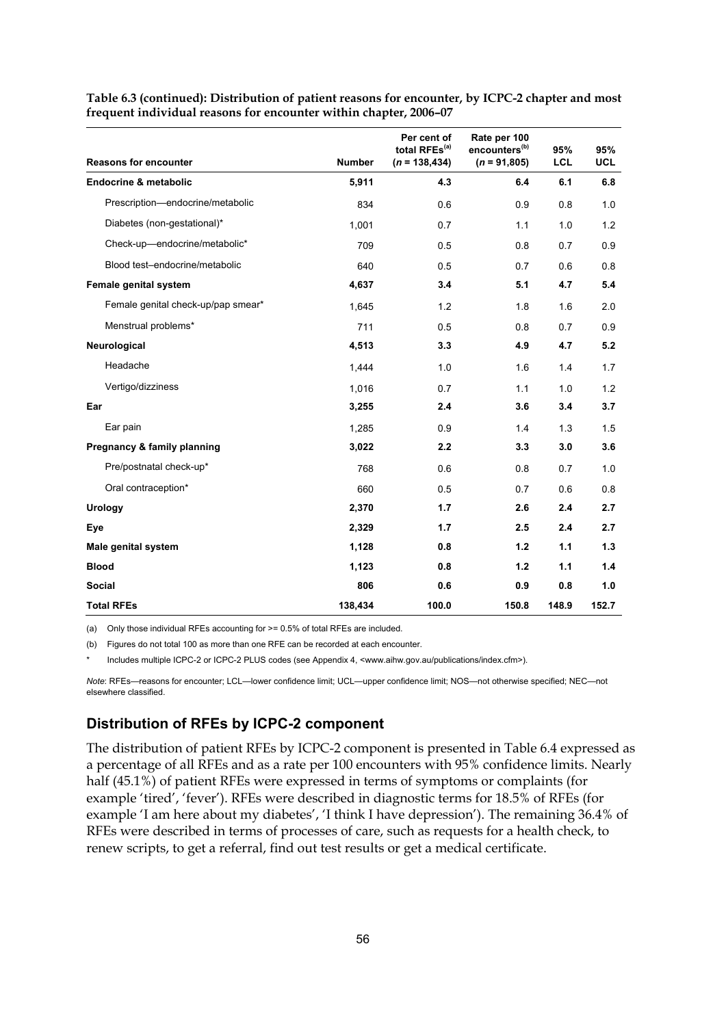| <b>Reasons for encounter</b>       | <b>Number</b> | Per cent of<br>total RFEs <sup>(a)</sup><br>$(n = 138, 434)$ | Rate per 100<br>encounters <sup>(b)</sup><br>$(n = 91,805)$ | 95%<br><b>LCL</b> | 95%<br><b>UCL</b> |
|------------------------------------|---------------|--------------------------------------------------------------|-------------------------------------------------------------|-------------------|-------------------|
| <b>Endocrine &amp; metabolic</b>   | 5,911         | 4.3                                                          | 6.4                                                         | 6.1               | 6.8               |
|                                    |               |                                                              |                                                             |                   |                   |
| Prescription-endocrine/metabolic   | 834           | 0.6                                                          | 0.9                                                         | 0.8               | 1.0               |
| Diabetes (non-gestational)*        | 1,001         | 0.7                                                          | 1.1                                                         | 1.0               | 1.2               |
| Check-up-endocrine/metabolic*      | 709           | 0.5                                                          | 0.8                                                         | 0.7               | 0.9               |
| Blood test-endocrine/metabolic     | 640           | 0.5                                                          | 0.7                                                         | 0.6               | 0.8               |
| Female genital system              | 4,637         | 3.4                                                          | 5.1                                                         | 4.7               | 5.4               |
| Female genital check-up/pap smear* | 1,645         | 1.2                                                          | 1.8                                                         | 1.6               | 2.0               |
| Menstrual problems*                | 711           | 0.5                                                          | 0.8                                                         | 0.7               | 0.9               |
| Neurological                       | 4,513         | 3.3                                                          | 4.9                                                         | 4.7               | 5.2               |
| Headache                           | 1,444         | 1.0                                                          | 1.6                                                         | 1.4               | 1.7               |
| Vertigo/dizziness                  | 1,016         | 0.7                                                          | 1.1                                                         | 1.0               | 1.2               |
| Ear                                | 3,255         | 2.4                                                          | 3.6                                                         | 3.4               | 3.7               |
| Ear pain                           | 1,285         | 0.9                                                          | 1.4                                                         | 1.3               | 1.5               |
| Pregnancy & family planning        | 3,022         | 2.2                                                          | 3.3                                                         | 3.0               | 3.6               |
| Pre/postnatal check-up*            | 768           | 0.6                                                          | 0.8                                                         | 0.7               | 1.0               |
| Oral contraception*                | 660           | 0.5                                                          | 0.7                                                         | 0.6               | 0.8               |
| Urology                            | 2,370         | 1.7                                                          | 2.6                                                         | 2.4               | 2.7               |
| Eye                                | 2,329         | 1.7                                                          | 2.5                                                         | 2.4               | 2.7               |
| <b>Male genital system</b>         | 1,128         | 0.8                                                          | 1.2                                                         | 1.1               | 1.3               |
| <b>Blood</b>                       | 1,123         | 0.8                                                          | 1.2                                                         | 1.1               | 1.4               |
| <b>Social</b>                      | 806           | 0.6                                                          | 0.9                                                         | 0.8               | 1.0               |
| <b>Total RFEs</b>                  | 138,434       | 100.0                                                        | 150.8                                                       | 148.9             | 152.7             |

**Table 6.3 (continued): Distribution of patient reasons for encounter, by ICPC-2 chapter and most frequent individual reasons for encounter within chapter, 2006–07** 

(a) Only those individual RFEs accounting for >= 0.5% of total RFEs are included.

(b) Figures do not total 100 as more than one RFE can be recorded at each encounter.

Includes multiple ICPC-2 or ICPC-2 PLUS codes (see Appendix 4, <www.aihw.gov.au/publications/index.cfm>).

*Note*: RFEs—reasons for encounter; LCL—lower confidence limit; UCL—upper confidence limit; NOS—not otherwise specified; NEC—not elsewhere classified.

#### **Distribution of RFEs by ICPC-2 component**

The distribution of patient RFEs by ICPC-2 component is presented in Table 6.4 expressed as a percentage of all RFEs and as a rate per 100 encounters with 95% confidence limits. Nearly half (45.1%) of patient RFEs were expressed in terms of symptoms or complaints (for example 'tired', 'fever'). RFEs were described in diagnostic terms for 18.5% of RFEs (for example 'I am here about my diabetes', 'I think I have depression'). The remaining 36.4% of RFEs were described in terms of processes of care, such as requests for a health check, to renew scripts, to get a referral, find out test results or get a medical certificate.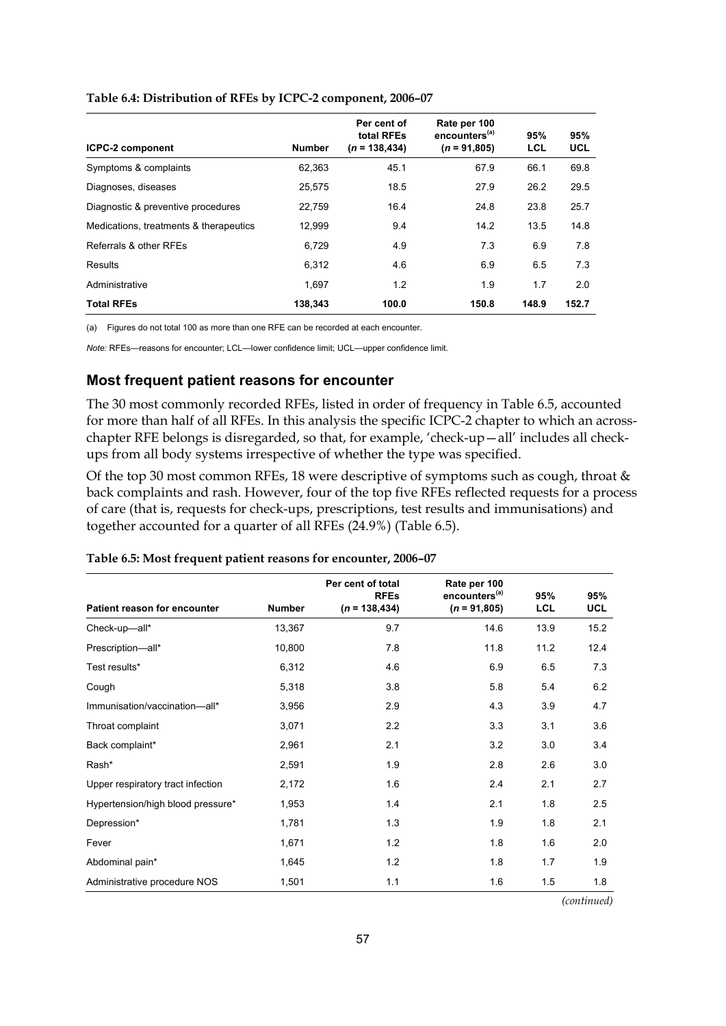| <b>ICPC-2 component</b>                | <b>Number</b> | Per cent of<br>total RFEs<br>$(n = 138, 434)$ | Rate per 100<br>encounters <sup>(a)</sup><br>$(n = 91,805)$ | 95%<br><b>LCL</b> | 95%<br><b>UCL</b> |
|----------------------------------------|---------------|-----------------------------------------------|-------------------------------------------------------------|-------------------|-------------------|
| Symptoms & complaints                  | 62.363        | 45.1                                          | 67.9                                                        | 66.1              | 69.8              |
| Diagnoses, diseases                    | 25.575        | 18.5                                          | 27.9                                                        | 26.2              | 29.5              |
| Diagnostic & preventive procedures     | 22,759        | 16.4                                          | 24.8                                                        | 23.8              | 25.7              |
| Medications, treatments & therapeutics | 12,999        | 9.4                                           | 14.2                                                        | 13.5              | 14.8              |
| Referrals & other RFEs                 | 6,729         | 4.9                                           | 7.3                                                         | 6.9               | 7.8               |
| Results                                | 6,312         | 4.6                                           | 6.9                                                         | 6.5               | 7.3               |
| Administrative                         | 1.697         | 1.2                                           | 1.9                                                         | 1.7               | 2.0               |
| <b>Total RFEs</b>                      | 138.343       | 100.0                                         | 150.8                                                       | 148.9             | 152.7             |

#### **Table 6.4: Distribution of RFEs by ICPC-2 component, 2006–07**

(a) Figures do not total 100 as more than one RFE can be recorded at each encounter.

*Note:* RFEs—reasons for encounter; LCL—lower confidence limit; UCL—upper confidence limit.

#### **Most frequent patient reasons for encounter**

The 30 most commonly recorded RFEs, listed in order of frequency in Table 6.5, accounted for more than half of all RFEs. In this analysis the specific ICPC-2 chapter to which an acrosschapter RFE belongs is disregarded, so that, for example, 'check-up—all' includes all checkups from all body systems irrespective of whether the type was specified.

Of the top 30 most common RFEs, 18 were descriptive of symptoms such as cough, throat & back complaints and rash. However, four of the top five RFEs reflected requests for a process of care (that is, requests for check-ups, prescriptions, test results and immunisations) and together accounted for a quarter of all RFEs (24.9%) (Table 6.5).

|                                   |               | Per cent of total<br><b>RFEs</b> | Rate per 100<br>encounters <sup>(a)</sup> | 95%        | 95%        |
|-----------------------------------|---------------|----------------------------------|-------------------------------------------|------------|------------|
| Patient reason for encounter      | <b>Number</b> | $(n = 138, 434)$                 | $(n = 91,805)$                            | <b>LCL</b> | <b>UCL</b> |
| Check-up-all*                     | 13,367        | 9.7                              | 14.6                                      | 13.9       | 15.2       |
| Prescription-all*                 | 10,800        | 7.8                              | 11.8                                      | 11.2       | 12.4       |
| Test results*                     | 6,312         | 4.6                              | 6.9                                       | 6.5        | 7.3        |
| Cough                             | 5,318         | 3.8                              | 5.8                                       | 5.4        | 6.2        |
| Immunisation/vaccination-all*     | 3,956         | 2.9                              | 4.3                                       | 3.9        | 4.7        |
| Throat complaint                  | 3,071         | 2.2                              | 3.3                                       | 3.1        | 3.6        |
| Back complaint*                   | 2,961         | 2.1                              | 3.2                                       | 3.0        | 3.4        |
| Rash*                             | 2,591         | 1.9                              | 2.8                                       | 2.6        | 3.0        |
| Upper respiratory tract infection | 2,172         | 1.6                              | 2.4                                       | 2.1        | 2.7        |
| Hypertension/high blood pressure* | 1,953         | 1.4                              | 2.1                                       | 1.8        | 2.5        |
| Depression*                       | 1,781         | 1.3                              | 1.9                                       | 1.8        | 2.1        |
| Fever                             | 1,671         | 1.2                              | 1.8                                       | 1.6        | 2.0        |
| Abdominal pain*                   | 1,645         | 1.2                              | 1.8                                       | 1.7        | 1.9        |
| Administrative procedure NOS      | 1,501         | 1.1                              | 1.6                                       | 1.5        | 1.8        |

#### **Table 6.5: Most frequent patient reasons for encounter, 2006–07**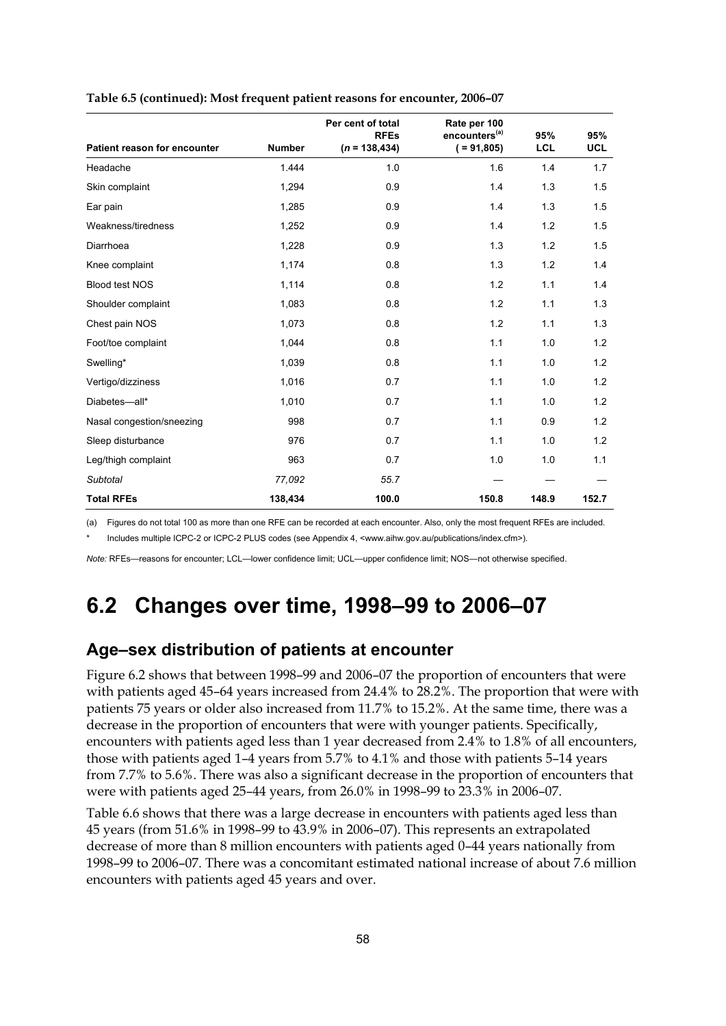| Patient reason for encounter | <b>Number</b> | Per cent of total<br><b>RFEs</b><br>$(n = 138, 434)$ | Rate per 100<br>encounters <sup>(a)</sup><br>$( = 91, 805)$ | 95%<br><b>LCL</b> | 95%<br><b>UCL</b> |
|------------------------------|---------------|------------------------------------------------------|-------------------------------------------------------------|-------------------|-------------------|
| Headache                     | 1.444         | 1.0                                                  | 1.6                                                         | 1.4               | 1.7               |
| Skin complaint               | 1,294         | 0.9                                                  | 1.4                                                         | 1.3               | 1.5               |
| Ear pain                     | 1,285         | 0.9                                                  | 1.4                                                         | 1.3               | 1.5               |
| Weakness/tiredness           | 1,252         | 0.9                                                  | 1.4                                                         | 1.2               | 1.5               |
| Diarrhoea                    | 1,228         | 0.9                                                  | 1.3                                                         | 1.2               | 1.5               |
| Knee complaint               | 1,174         | 0.8                                                  | 1.3                                                         | 1.2               | 1.4               |
| <b>Blood test NOS</b>        | 1,114         | 0.8                                                  | 1.2                                                         | 1.1               | 1.4               |
| Shoulder complaint           | 1,083         | 0.8                                                  | 1.2                                                         | 1.1               | 1.3               |
| Chest pain NOS               | 1,073         | 0.8                                                  | 1.2                                                         | 1.1               | 1.3               |
| Foot/toe complaint           | 1,044         | 0.8                                                  | 1.1                                                         | 1.0               | 1.2               |
| Swelling*                    | 1,039         | 0.8                                                  | 1.1                                                         | 1.0               | 1.2               |
| Vertigo/dizziness            | 1,016         | 0.7                                                  | 1.1                                                         | 1.0               | 1.2               |
| Diabetes-all*                | 1,010         | 0.7                                                  | 1.1                                                         | 1.0               | 1.2               |
| Nasal congestion/sneezing    | 998           | 0.7                                                  | 1.1                                                         | 0.9               | 1.2               |
| Sleep disturbance            | 976           | 0.7                                                  | 1.1                                                         | 1.0               | 1.2               |
| Leg/thigh complaint          | 963           | 0.7                                                  | 1.0                                                         | 1.0               | 1.1               |
| <b>Subtotal</b>              | 77,092        | 55.7                                                 |                                                             |                   |                   |
| <b>Total RFEs</b>            | 138,434       | 100.0                                                | 150.8                                                       | 148.9             | 152.7             |

#### **Table 6.5 (continued): Most frequent patient reasons for encounter, 2006–07**

(a) Figures do not total 100 as more than one RFE can be recorded at each encounter. Also, only the most frequent RFEs are included.

Includes multiple ICPC-2 or ICPC-2 PLUS codes (see Appendix 4, <www.aihw.gov.au/publications/index.cfm>).

*Note:* RFEs—reasons for encounter; LCL—lower confidence limit; UCL—upper confidence limit; NOS—not otherwise specified.

# **6.2 Changes over time, 1998–99 to 2006–07**

## **Age–sex distribution of patients at encounter**

Figure 6.2 shows that between 1998–99 and 2006–07 the proportion of encounters that were with patients aged 45–64 years increased from 24.4% to 28.2%. The proportion that were with patients 75 years or older also increased from 11.7% to 15.2%. At the same time, there was a decrease in the proportion of encounters that were with younger patients. Specifically, encounters with patients aged less than 1 year decreased from 2.4% to 1.8% of all encounters, those with patients aged 1–4 years from 5.7% to 4.1% and those with patients 5–14 years from 7.7% to 5.6%. There was also a significant decrease in the proportion of encounters that were with patients aged 25–44 years, from 26.0% in 1998–99 to 23.3% in 2006–07.

Table 6.6 shows that there was a large decrease in encounters with patients aged less than 45 years (from 51.6% in 1998–99 to 43.9% in 2006–07). This represents an extrapolated decrease of more than 8 million encounters with patients aged 0–44 years nationally from 1998–99 to 2006–07. There was a concomitant estimated national increase of about 7.6 million encounters with patients aged 45 years and over.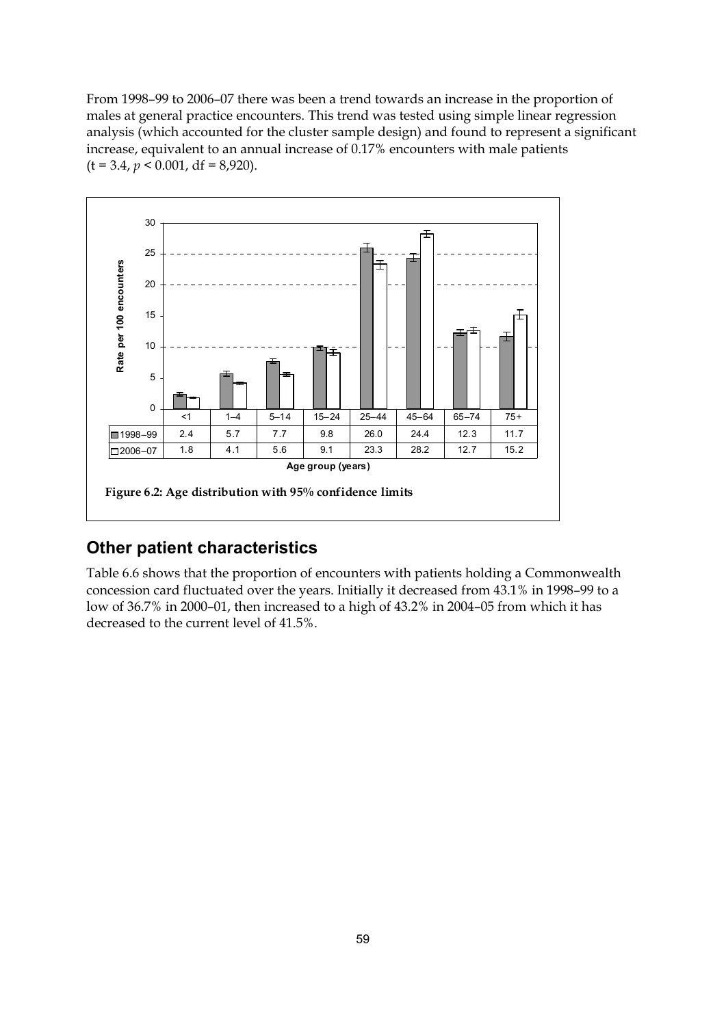From 1998–99 to 2006–07 there was been a trend towards an increase in the proportion of males at general practice encounters. This trend was tested using simple linear regression analysis (which accounted for the cluster sample design) and found to represent a significant increase, equivalent to an annual increase of 0.17% encounters with male patients  $(t = 3.4, p < 0.001, df = 8,920).$ 



## **Other patient characteristics**

Table 6.6 shows that the proportion of encounters with patients holding a Commonwealth concession card fluctuated over the years. Initially it decreased from 43.1% in 1998–99 to a low of 36.7% in 2000–01, then increased to a high of 43.2% in 2004–05 from which it has decreased to the current level of 41.5%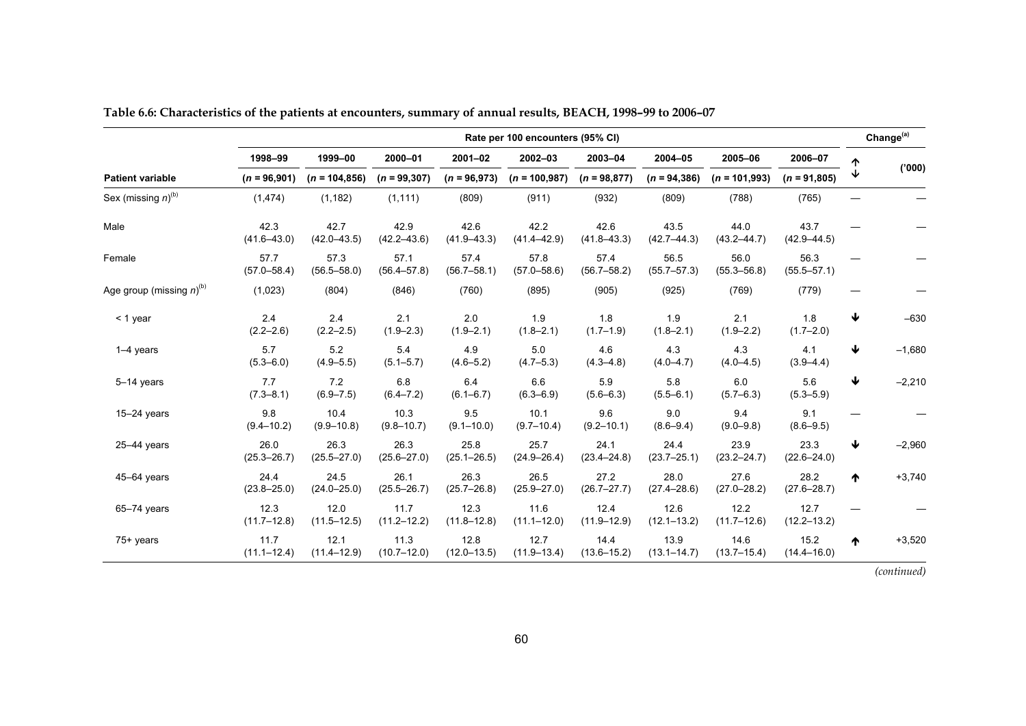|                                         | Rate per 100 encounters (95% CI) |                         |                         |                         |                         |                         |                         |                         |                         |              | Change <sup>(a)</sup> |
|-----------------------------------------|----------------------------------|-------------------------|-------------------------|-------------------------|-------------------------|-------------------------|-------------------------|-------------------------|-------------------------|--------------|-----------------------|
|                                         | 1998-99                          | 1999-00                 | 2000-01                 | $2001 - 02$             | 2002-03                 | 2003-04                 | 2004-05                 | 2005-06                 | 2006-07                 | ተ            |                       |
| <b>Patient variable</b>                 | $(n = 96,901)$                   | $(n = 104, 856)$        | $(n = 99, 307)$         | $(n = 96,973)$          | $(n = 100, 987)$        | $(n = 98, 877)$         | $(n = 94, 386)$         | $(n = 101,993)$         | $(n = 91,805)$          | $\downarrow$ | (000)                 |
| Sex (missing $n$ ) <sup>(b)</sup>       | (1, 474)                         | (1, 182)                | (1, 111)                | (809)                   | (911)                   | (932)                   | (809)                   | (788)                   | (765)                   |              |                       |
| Male                                    | 42.3<br>$(41.6 - 43.0)$          | 42.7<br>$(42.0 - 43.5)$ | 42.9<br>$(42.2 - 43.6)$ | 42.6<br>$(41.9 - 43.3)$ | 42.2<br>$(41.4 - 42.9)$ | 42.6<br>$(41.8 - 43.3)$ | 43.5<br>$(42.7 - 44.3)$ | 44.0<br>$(43.2 - 44.7)$ | 43.7<br>$(42.9 - 44.5)$ |              |                       |
| Female                                  | 57.7<br>$(57.0 - 58.4)$          | 57.3<br>$(56.5 - 58.0)$ | 57.1<br>$(56.4 - 57.8)$ | 57.4<br>$(56.7 - 58.1)$ | 57.8<br>$(57.0 - 58.6)$ | 57.4<br>$(56.7 - 58.2)$ | 56.5<br>$(55.7 - 57.3)$ | 56.0<br>$(55.3 - 56.8)$ | 56.3<br>$(55.5 - 57.1)$ |              |                       |
| Age group (missing $n$ ) <sup>(b)</sup> | (1,023)                          | (804)                   | (846)                   | (760)                   | (895)                   | (905)                   | (925)                   | (769)                   | (779)                   |              |                       |
| < 1 year                                | 2.4<br>$(2.2 - 2.6)$             | 2.4<br>$(2.2 - 2.5)$    | 2.1<br>$(1.9 - 2.3)$    | 2.0<br>$(1.9 - 2.1)$    | 1.9<br>$(1.8 - 2.1)$    | 1.8<br>$(1.7 - 1.9)$    | 1.9<br>$(1.8 - 2.1)$    | 2.1<br>$(1.9 - 2.2)$    | 1.8<br>$(1.7 - 2.0)$    | ↓            | $-630$                |
| $1-4$ years                             | 5.7<br>$(5.3 - 6.0)$             | 5.2<br>$(4.9 - 5.5)$    | 5.4<br>$(5.1 - 5.7)$    | 4.9<br>$(4.6 - 5.2)$    | 5.0<br>$(4.7 - 5.3)$    | 4.6<br>$(4.3 - 4.8)$    | 4.3<br>$(4.0 - 4.7)$    | 4.3<br>$(4.0 - 4.5)$    | 4.1<br>$(3.9 - 4.4)$    | ₩            | $-1,680$              |
| 5-14 years                              | 7.7<br>$(7.3 - 8.1)$             | 7.2<br>$(6.9 - 7.5)$    | 6.8<br>$(6.4 - 7.2)$    | 6.4<br>$(6.1 - 6.7)$    | 6.6<br>$(6.3 - 6.9)$    | 5.9<br>$(5.6 - 6.3)$    | 5.8<br>$(5.5 - 6.1)$    | 6.0<br>$(5.7 - 6.3)$    | 5.6<br>$(5.3 - 5.9)$    | ↓            | $-2,210$              |
| $15-24$ years                           | 9.8<br>$(9.4 - 10.2)$            | 10.4<br>$(9.9 - 10.8)$  | 10.3<br>$(9.8 - 10.7)$  | 9.5<br>$(9.1 - 10.0)$   | 10.1<br>$(9.7 - 10.4)$  | 9.6<br>$(9.2 - 10.1)$   | 9.0<br>$(8.6 - 9.4)$    | 9.4<br>$(9.0 - 9.8)$    | 9.1<br>$(8.6 - 9.5)$    |              |                       |
| $25-44$ years                           | 26.0<br>$(25.3 - 26.7)$          | 26.3<br>$(25.5 - 27.0)$ | 26.3<br>$(25.6 - 27.0)$ | 25.8<br>$(25.1 - 26.5)$ | 25.7<br>$(24.9 - 26.4)$ | 24.1<br>$(23.4 - 24.8)$ | 24.4<br>$(23.7 - 25.1)$ | 23.9<br>$(23.2 - 24.7)$ | 23.3<br>$(22.6 - 24.0)$ | ↓            | $-2,960$              |
| $45 - 64$ years                         | 24.4<br>$(23.8 - 25.0)$          | 24.5<br>$(24.0 - 25.0)$ | 26.1<br>$(25.5 - 26.7)$ | 26.3<br>$(25.7 - 26.8)$ | 26.5<br>$(25.9 - 27.0)$ | 27.2<br>$(26.7 - 27.7)$ | 28.0<br>$(27.4 - 28.6)$ | 27.6<br>$(27.0 - 28.2)$ | 28.2<br>$(27.6 - 28.7)$ | ↑            | $+3,740$              |
| $65 - 74$ years                         | 12.3<br>$(11.7 - 12.8)$          | 12.0<br>$(11.5 - 12.5)$ | 11.7<br>$(11.2 - 12.2)$ | 12.3<br>$(11.8 - 12.8)$ | 11.6<br>$(11.1 - 12.0)$ | 12.4<br>$(11.9 - 12.9)$ | 12.6<br>$(12.1 - 13.2)$ | 12.2<br>$(11.7 - 12.6)$ | 12.7<br>$(12.2 - 13.2)$ |              |                       |
| $75+$ years                             | 11.7<br>$(11.1 - 12.4)$          | 12.1<br>$(11.4 - 12.9)$ | 11.3<br>$(10.7 - 12.0)$ | 12.8<br>$(12.0 - 13.5)$ | 12.7<br>$(11.9 - 13.4)$ | 14.4<br>$(13.6 - 15.2)$ | 13.9<br>$(13.1 - 14.7)$ | 14.6<br>$(13.7 - 15.4)$ | 15.2<br>$(14.4 - 16.0)$ | ↑            | $+3,520$              |

**Table 6.6: Characteristics of the patients at encounters, summary of annual results, BEACH, 1998–99 to 2006–07**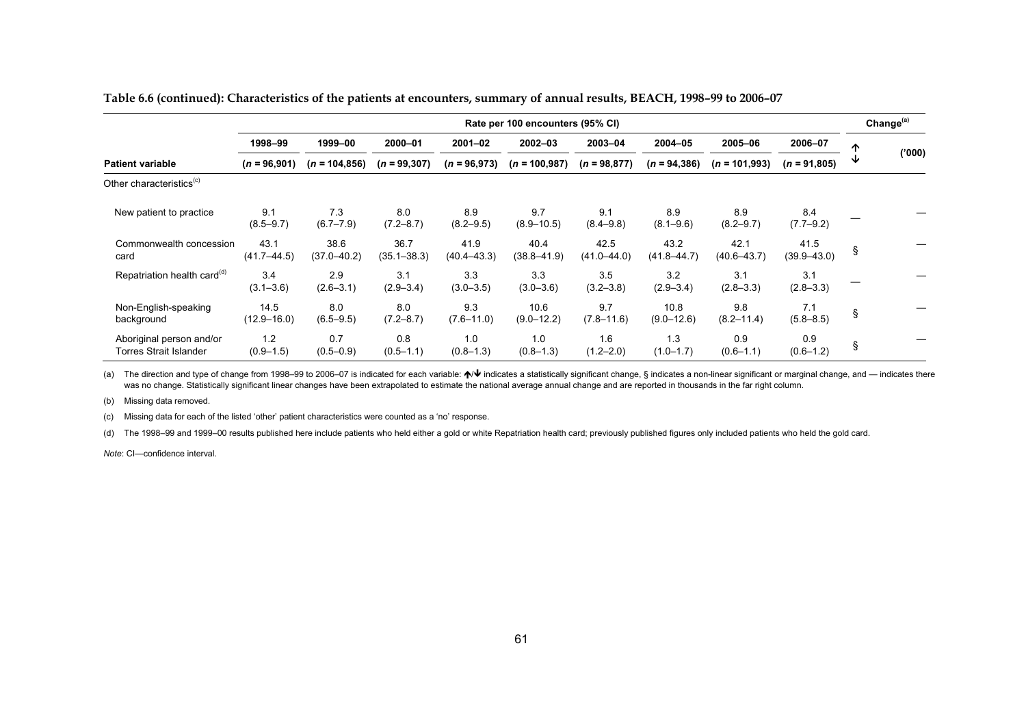|                                                    | Rate per 100 encounters (95% CI) |                         |                         |                         |                         |                         |                         |                         |                         |   | Change <sup>(a)</sup> |
|----------------------------------------------------|----------------------------------|-------------------------|-------------------------|-------------------------|-------------------------|-------------------------|-------------------------|-------------------------|-------------------------|---|-----------------------|
|                                                    | 1998-99                          | 1999-00                 | 2000-01                 | $2001 - 02$             | 2002-03                 | 2003-04                 | 2004-05                 | 2005-06                 | 2006-07                 | 个 |                       |
| <b>Patient variable</b>                            | $(n = 96,901)$                   | $(n = 104, 856)$        | $(n = 99, 307)$         | $(n = 96,973)$          | $(n = 100, 987)$        | $(n = 98, 877)$         | $(n = 94, 386)$         | $(n = 101,993)$         | $(n = 91,805)$          |   | ('000)                |
| Other characteristics <sup>(c)</sup>               |                                  |                         |                         |                         |                         |                         |                         |                         |                         |   |                       |
| New patient to practice                            | 9.1<br>$(8.5 - 9.7)$             | 7.3<br>$(6.7 - 7.9)$    | 8.0<br>$(7.2 - 8.7)$    | 8.9<br>$(8.2 - 9.5)$    | 9.7<br>$(8.9 - 10.5)$   | 9.1<br>$(8.4 - 9.8)$    | 8.9<br>$(8.1 - 9.6)$    | 8.9<br>$(8.2 - 9.7)$    | 8.4<br>$(7.7-9.2)$      |   |                       |
| Commonwealth concession<br>card                    | 43.1<br>$(41.7 - 44.5)$          | 38.6<br>$(37.0 - 40.2)$ | 36.7<br>$(35.1 - 38.3)$ | 41.9<br>$(40.4 - 43.3)$ | 40.4<br>$(38.8 - 41.9)$ | 42.5<br>$(41.0 - 44.0)$ | 43.2<br>$(41.8 - 44.7)$ | 42.1<br>$(40.6 - 43.7)$ | 41.5<br>$(39.9 - 43.0)$ | ş |                       |
| Repatriation health card <sup>(d)</sup>            | 3.4<br>$(3.1 - 3.6)$             | 2.9<br>$(2.6 - 3.1)$    | 3.1<br>$(2.9 - 3.4)$    | 3.3<br>$(3.0 - 3.5)$    | 3.3<br>$(3.0 - 3.6)$    | 3.5<br>$(3.2 - 3.8)$    | 3.2<br>$(2.9 - 3.4)$    | 3.1<br>$(2.8 - 3.3)$    | 3.1<br>$(2.8 - 3.3)$    |   |                       |
| Non-English-speaking<br>background                 | 14.5<br>$(12.9 - 16.0)$          | 8.0<br>$(6.5 - 9.5)$    | 8.0<br>$(7.2 - 8.7)$    | 9.3<br>$(7.6 - 11.0)$   | 10.6<br>$(9.0 - 12.2)$  | 9.7<br>$(7.8 - 11.6)$   | 10.8<br>$(9.0 - 12.6)$  | 9.8<br>$(8.2 - 11.4)$   | 7.1<br>$(5.8 - 8.5)$    | ş |                       |
| Aboriginal person and/or<br>Torres Strait Islander | 1.2<br>$(0.9 - 1.5)$             | 0.7<br>$(0.5 - 0.9)$    | 0.8<br>$(0.5 - 1.1)$    | 1.0<br>$(0.8 - 1.3)$    | 1.0<br>$(0.8 - 1.3)$    | 1.6<br>$(1.2 - 2.0)$    | 1.3<br>$(1.0 - 1.7)$    | 0.9<br>$(0.6 - 1.1)$    | 0.9<br>$(0.6 - 1.2)$    | ş |                       |

**Table 6.6 (continued): Characteristics of the patients at encounters, summary of annual results, BEACH, 1998–99 to 2006–07** 

(a) The direction and type of change from 1998–99 to 2006–07 is indicated for each variable:  $\gamma \vee$  indicates a statistically significant change, § indicates a non-linear significant or marginal change, and — indicates th was no change. Statistically significant linear changes have been extrapolated to estimate the national average annual change and are reported in thousands in the far right column.

(b) Missing data removed.

(c) Missing data for each of the listed 'other' patient characteristics were counted as a 'no' response.

(d) The 1998–99 and 1999–00 results published here include patients who held either a gold or white Repatriation health card; previously published figures only included patients who held the gold card.

*Note*: CI—confidence interval.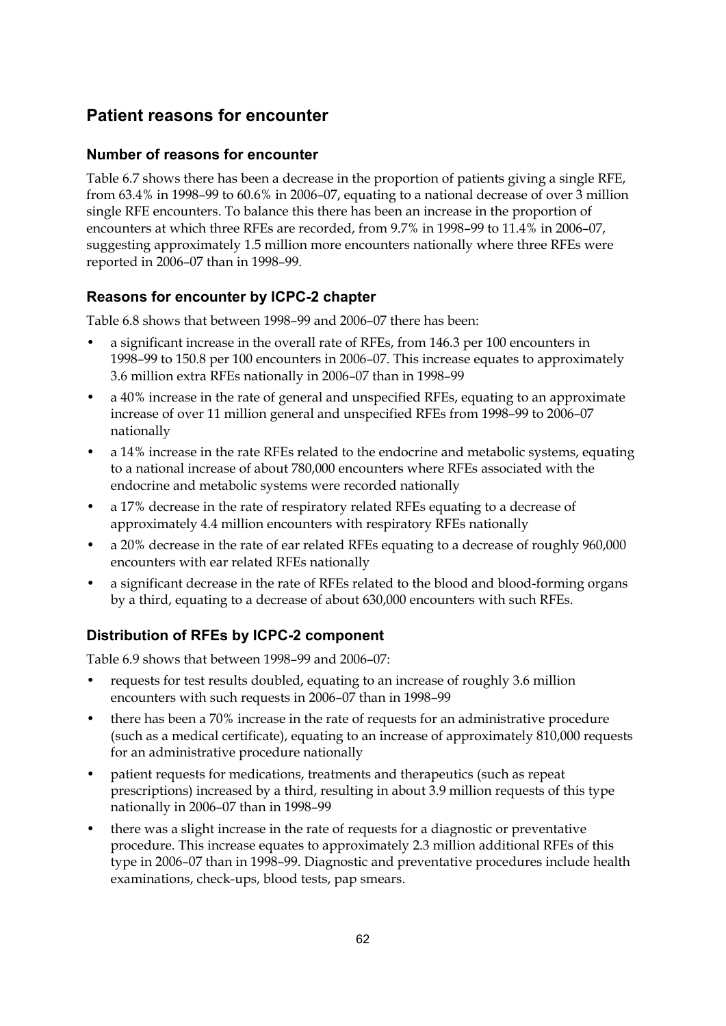# **Patient reasons for encounter**

### **Number of reasons for encounter**

Table 6.7 shows there has been a decrease in the proportion of patients giving a single RFE, from 63.4% in 1998–99 to 60.6% in 2006–07, equating to a national decrease of over 3 million single RFE encounters. To balance this there has been an increase in the proportion of encounters at which three RFEs are recorded, from 9.7% in 1998–99 to 11.4% in 2006–07, suggesting approximately 1.5 million more encounters nationally where three RFEs were reported in 2006–07 than in 1998–99.

## **Reasons for encounter by ICPC-2 chapter**

Table 6.8 shows that between 1998–99 and 2006–07 there has been:

- a significant increase in the overall rate of RFEs, from 146.3 per 100 encounters in 1998–99 to 150.8 per 100 encounters in 2006–07. This increase equates to approximately 3.6 million extra RFEs nationally in 2006–07 than in 1998–99
- a 40% increase in the rate of general and unspecified RFEs, equating to an approximate increase of over 11 million general and unspecified RFEs from 1998–99 to 2006–07 nationally
- a 14% increase in the rate RFEs related to the endocrine and metabolic systems, equating to a national increase of about 780,000 encounters where RFEs associated with the endocrine and metabolic systems were recorded nationally
- a 17% decrease in the rate of respiratory related RFEs equating to a decrease of approximately 4.4 million encounters with respiratory RFEs nationally
- a 20% decrease in the rate of ear related RFEs equating to a decrease of roughly 960,000 encounters with ear related RFEs nationally
- a significant decrease in the rate of RFEs related to the blood and blood-forming organs by a third, equating to a decrease of about 630,000 encounters with such RFEs.

## **Distribution of RFEs by ICPC-2 component**

Table 6.9 shows that between 1998–99 and 2006–07:

- requests for test results doubled, equating to an increase of roughly 3.6 million encounters with such requests in 2006–07 than in 1998–99
- there has been a 70% increase in the rate of requests for an administrative procedure (such as a medical certificate), equating to an increase of approximately 810,000 requests for an administrative procedure nationally
- patient requests for medications, treatments and therapeutics (such as repeat prescriptions) increased by a third, resulting in about 3.9 million requests of this type nationally in 2006–07 than in 1998–99
- there was a slight increase in the rate of requests for a diagnostic or preventative procedure. This increase equates to approximately 2.3 million additional RFEs of this type in 2006–07 than in 1998–99. Diagnostic and preventative procedures include health examinations, check-ups, blood tests, pap smears.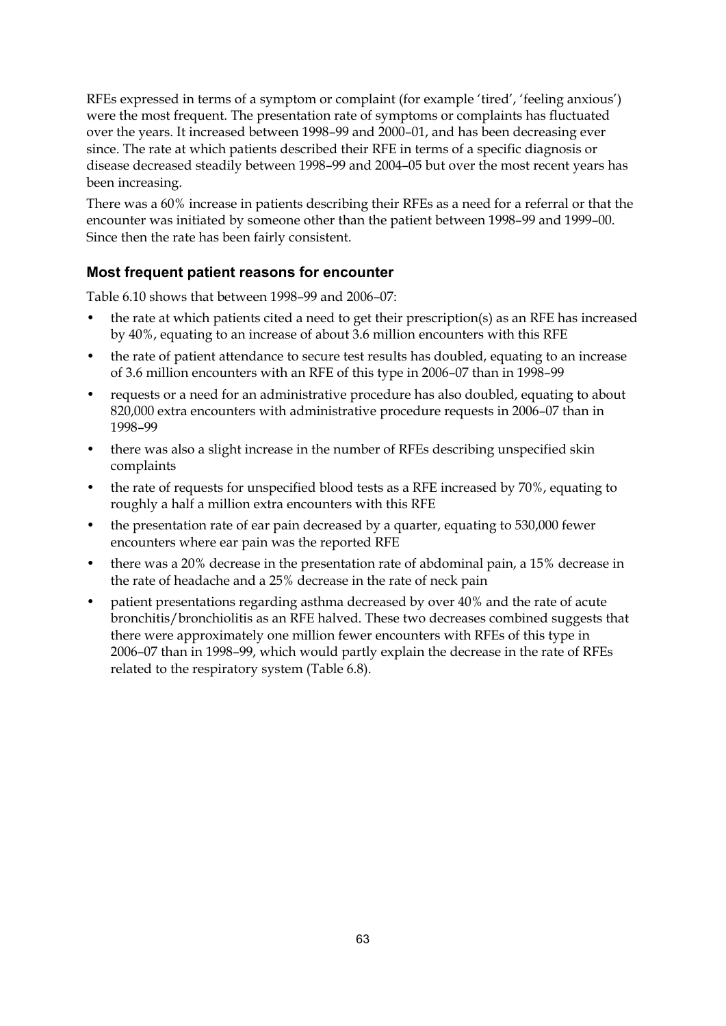RFEs expressed in terms of a symptom or complaint (for example 'tired', 'feeling anxious') were the most frequent. The presentation rate of symptoms or complaints has fluctuated over the years. It increased between 1998–99 and 2000–01, and has been decreasing ever since. The rate at which patients described their RFE in terms of a specific diagnosis or disease decreased steadily between 1998–99 and 2004–05 but over the most recent years has been increasing.

There was a 60% increase in patients describing their RFEs as a need for a referral or that the encounter was initiated by someone other than the patient between 1998–99 and 1999–00. Since then the rate has been fairly consistent.

### **Most frequent patient reasons for encounter**

Table 6.10 shows that between 1998–99 and 2006–07:

- the rate at which patients cited a need to get their prescription(s) as an RFE has increased by 40%, equating to an increase of about 3.6 million encounters with this RFE
- the rate of patient attendance to secure test results has doubled, equating to an increase of 3.6 million encounters with an RFE of this type in 2006–07 than in 1998–99
- requests or a need for an administrative procedure has also doubled, equating to about 820,000 extra encounters with administrative procedure requests in 2006–07 than in 1998–99
- there was also a slight increase in the number of RFEs describing unspecified skin complaints
- the rate of requests for unspecified blood tests as a RFE increased by 70%, equating to roughly a half a million extra encounters with this RFE
- the presentation rate of ear pain decreased by a quarter, equating to 530,000 fewer encounters where ear pain was the reported RFE
- there was a 20% decrease in the presentation rate of abdominal pain, a 15% decrease in the rate of headache and a 25% decrease in the rate of neck pain
- patient presentations regarding asthma decreased by over 40% and the rate of acute bronchitis/bronchiolitis as an RFE halved. These two decreases combined suggests that there were approximately one million fewer encounters with RFEs of this type in 2006–07 than in 1998–99, which would partly explain the decrease in the rate of RFEs related to the respiratory system (Table 6.8).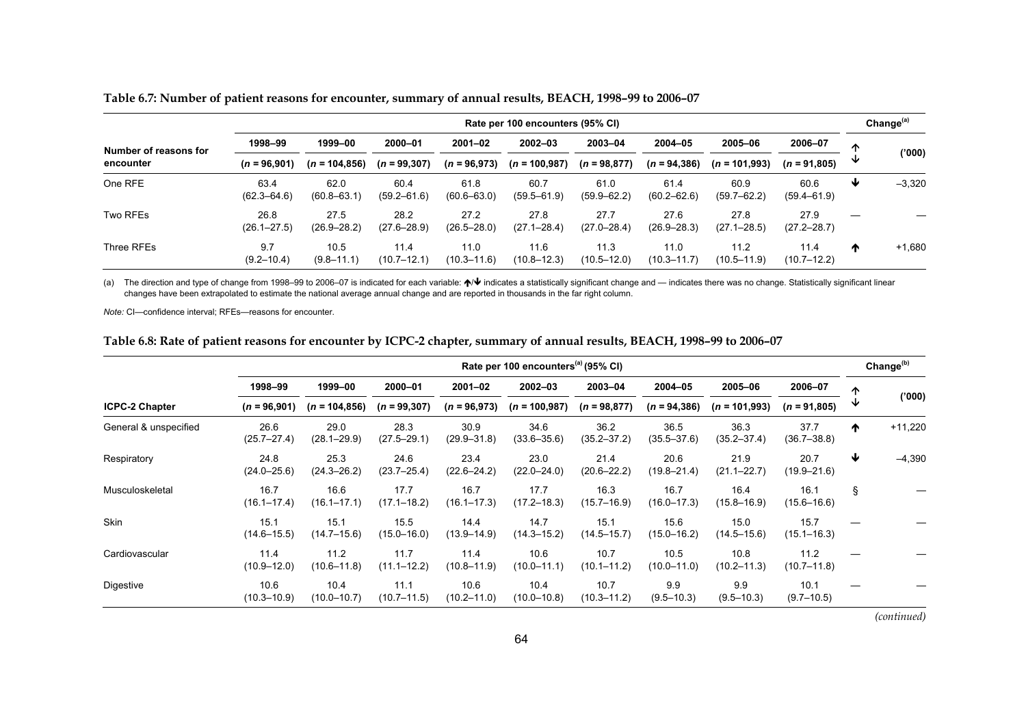|                       | Rate per 100 encounters (95% CI) |                         |                         |                         |                         |                         |                         |                         |                         |                 | Change <sup>(a)</sup> |   |       |
|-----------------------|----------------------------------|-------------------------|-------------------------|-------------------------|-------------------------|-------------------------|-------------------------|-------------------------|-------------------------|-----------------|-----------------------|---|-------|
| Number of reasons for | 1998-99                          | 1999-00                 | 2000-01                 | $2001 - 02$             | $2002 - 03$             | 2003-04                 | 2004-05                 | 2005-06                 | 2006-07                 | ∧               |                       |   |       |
| encounter             |                                  | $(n = 96,901)$          | $(n = 104, 856)$        | $(n = 99, 307)$         | $(n = 96,973)$          | $(n = 100, 987)$        |                         | $(n = 98.877)$          | $(n = 94, 386)$         | $(n = 101,993)$ | $(n = 91,805)$        | ₩ | (000) |
| One RFE               | 63.4<br>$(62.3 - 64.6)$          | 62.0<br>$(60.8 - 63.1)$ | 60.4<br>$(59.2 - 61.6)$ | 61.8<br>$(60.6 - 63.0)$ | 60.7<br>$(59.5 - 61.9)$ | 61.0<br>$(59.9 - 62.2)$ | 61.4<br>$(60.2 - 62.6)$ | 60.9<br>$(59.7 - 62.2)$ | 60.6<br>$(59.4 - 61.9)$ | ₩               | $-3,320$              |   |       |
| Two RFEs              | 26.8<br>$(26.1 - 27.5)$          | 27.5<br>$(26.9 - 28.2)$ | 28.2<br>$(27.6 - 28.9)$ | 27.2<br>$(26.5 - 28.0)$ | 27.8<br>$(27.1 - 28.4)$ | 27.7<br>$(27.0 - 28.4)$ | 27.6<br>$(26.9 - 28.3)$ | 27.8<br>$(27.1 - 28.5)$ | 27.9<br>$(27.2 - 28.7)$ | –               |                       |   |       |
| Three RFEs            | 9.7<br>$(9.2 - 10.4)$            | 10.5<br>$(9.8 - 11.1)$  | 11.4<br>$(10.7 - 12.1)$ | 11.0<br>$(10.3 - 11.6)$ | 11.6<br>$(10.8 - 12.3)$ | 11.3<br>$(10.5 - 12.0)$ | 11.0<br>$(10.3 - 11.7)$ | 11.2<br>$(10.5 - 11.9)$ | 11.4<br>$(10.7 - 12.2)$ | ₼               | $+1,680$              |   |       |

**Table 6.7: Number of patient reasons for encounter, summary of annual results, BEACH, 1998–99 to 2006–07** 

(a) The direction and type of change from 1998–99 to 2006–07 is indicated for each variable: ♦ ♦ indicates a statistically significant change and — indicates there was no change. Statistically significant linear changes have been extrapolated to estimate the national average annual change and are reported in thousands in the far right column.

*Note:* CI—confidence interval; RFEs—reasons for encounter.

**Table 6.8: Rate of patient reasons for encounter by ICPC-2 chapter, summary of annual results, BEACH, 1998–99 to 2006–07** 

|                       | Rate per 100 encounters <sup>(a)</sup> (95% CI) |                         |                         |                         |                         |                         |                         |                         |                         |   |           |
|-----------------------|-------------------------------------------------|-------------------------|-------------------------|-------------------------|-------------------------|-------------------------|-------------------------|-------------------------|-------------------------|---|-----------|
|                       | 1998-99                                         | 1999-00                 | 2000-01                 | 2001-02                 | $2002 - 03$             | 2003-04                 | 2004-05                 | 2005-06                 | 2006-07                 | 个 |           |
| <b>ICPC-2 Chapter</b> | $(n = 96,901)$                                  | $(n = 104, 856)$        | $(n = 99, 307)$         | $(n = 96,973)$          | $(n = 100, 987)$        | $(n = 98,877)$          | $(n = 94, 386)$         | $(n = 101,993)$         | $(n = 91,805)$          | ◡ | (000)     |
| General & unspecified | 26.6<br>$(25.7 - 27.4)$                         | 29.0<br>$(28.1 - 29.9)$ | 28.3<br>$(27.5 - 29.1)$ | 30.9<br>$(29.9 - 31.8)$ | 34.6<br>$(33.6 - 35.6)$ | 36.2<br>$(35.2 - 37.2)$ | 36.5<br>$(35.5 - 37.6)$ | 36.3<br>(35.2–37.4)     | 37.7<br>$(36.7 - 38.8)$ | ↑ | $+11,220$ |
| Respiratory           | 24.8<br>$(24.0 - 25.6)$                         | 25.3<br>$(24.3 - 26.2)$ | 24.6<br>$(23.7 - 25.4)$ | 23.4<br>$(22.6 - 24.2)$ | 23.0<br>$(22.0 - 24.0)$ | 21.4<br>$(20.6 - 22.2)$ | 20.6<br>$(19.8 - 21.4)$ | 21.9<br>$(21.1 - 22.7)$ | 20.7<br>$(19.9 - 21.6)$ | ₩ | $-4,390$  |
| Musculoskeletal       | 16.7<br>$(16.1 - 17.4)$                         | 16.6<br>$(16.1 - 17.1)$ | 17.7<br>$(17.1 - 18.2)$ | 16.7<br>$(16.1 - 17.3)$ | 17.7<br>$(17.2 - 18.3)$ | 16.3<br>$(15.7 - 16.9)$ | 16.7<br>$(16.0 - 17.3)$ | 16.4<br>(15.8–16.9)     | 16.1<br>$(15.6 - 16.6)$ | ş |           |
| <b>Skin</b>           | 15.1<br>$(14.6 - 15.5)$                         | 15.1<br>$(14.7 - 15.6)$ | 15.5<br>$(15.0 - 16.0)$ | 14.4<br>$(13.9 - 14.9)$ | 14.7<br>$(14.3 - 15.2)$ | 15.1<br>(14.5–15.7)     | 15.6<br>$(15.0 - 16.2)$ | 15.0<br>(14.5–15.6)     | 15.7<br>$(15.1 - 16.3)$ |   |           |
| Cardiovascular        | 11.4<br>$(10.9 - 12.0)$                         | 11.2<br>$(10.6 - 11.8)$ | 11.7<br>$(11.1 - 12.2)$ | 11.4<br>$(10.8 - 11.9)$ | 10.6<br>$(10.0 - 11.1)$ | 10.7<br>$(10.1 - 11.2)$ | 10.5<br>$(10.0 - 11.0)$ | 10.8<br>$(10.2 - 11.3)$ | 11.2<br>$(10.7 - 11.8)$ |   |           |
| Digestive             | 10.6<br>$(10.3 - 10.9)$                         | 10.4<br>$(10.0 - 10.7)$ | 11.1<br>$(10.7 - 11.5)$ | 10.6<br>$(10.2 - 11.0)$ | 10.4<br>$(10.0 - 10.8)$ | 10.7<br>$(10.3 - 11.2)$ | 9.9<br>$(9.5 - 10.3)$   | 9.9<br>$(9.5 - 10.3)$   | 10.1<br>$(9.7 - 10.5)$  |   |           |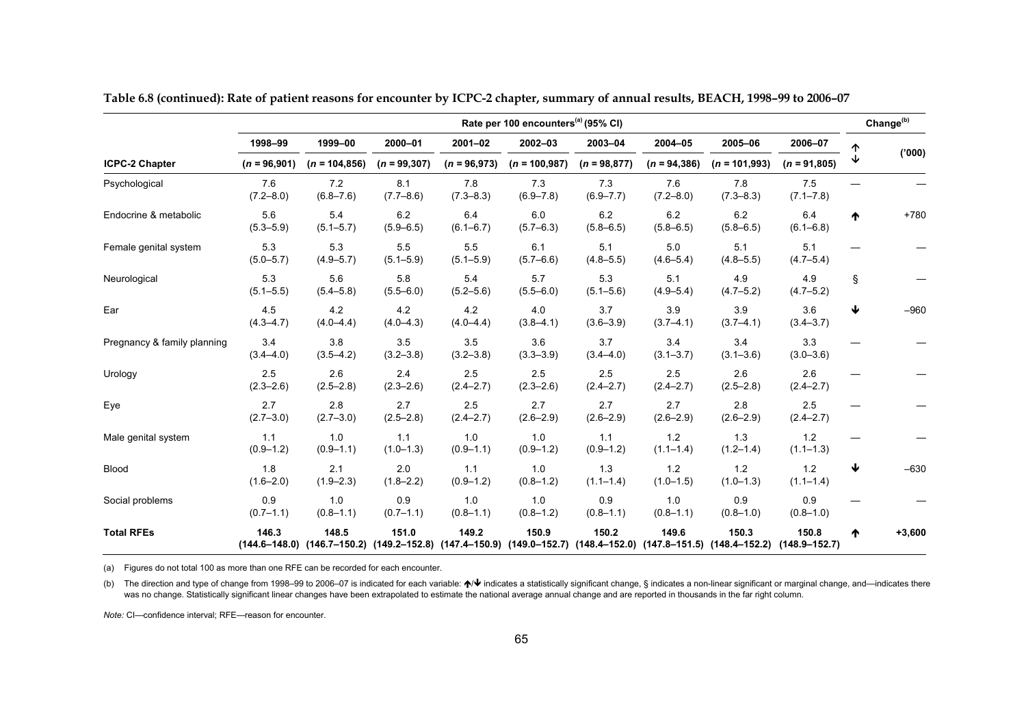|                             | Rate per 100 encounters <sup>(a)</sup> (95% CI) |                                                                                                                          |                      |                      |                      |                      |                            |                            |                            |   | Change <sup>(b)</sup> |
|-----------------------------|-------------------------------------------------|--------------------------------------------------------------------------------------------------------------------------|----------------------|----------------------|----------------------|----------------------|----------------------------|----------------------------|----------------------------|---|-----------------------|
|                             | 1998-99                                         | 1999-00                                                                                                                  | 2000-01              | $2001 - 02$          | 2002-03              | 2003-04              | 2004-05<br>$(n = 94, 386)$ | 2005-06<br>$(n = 101,993)$ | 2006-07                    | ↑ |                       |
| <b>ICPC-2 Chapter</b>       | $(n = 96,901)$                                  | $(n = 104, 856)$                                                                                                         | $(n = 99, 307)$      | $(n = 96,973)$       | $(n = 100, 987)$     | $(n = 98, 877)$      |                            |                            | $(n = 91,805)$             | ↓ | (000)'                |
| Psychological               | 7.6<br>$(7.2 - 8.0)$                            | 7.2<br>$(6.8 - 7.6)$                                                                                                     | 8.1<br>$(7.7 - 8.6)$ | 7.8<br>$(7.3 - 8.3)$ | 7.3<br>$(6.9 - 7.8)$ | 7.3<br>$(6.9 - 7.7)$ | 7.6<br>$(7.2 - 8.0)$       | 7.8<br>$(7.3 - 8.3)$       | 7.5<br>$(7.1 - 7.8)$       |   |                       |
| Endocrine & metabolic       | 5.6<br>$(5.3 - 5.9)$                            | 5.4<br>$(5.1 - 5.7)$                                                                                                     | 6.2<br>$(5.9 - 6.5)$ | 6.4<br>$(6.1 - 6.7)$ | 6.0<br>$(5.7 - 6.3)$ | 6.2<br>$(5.8 - 6.5)$ | 6.2<br>$(5.8 - 6.5)$       | 6.2<br>$(5.8 - 6.5)$       | 6.4<br>$(6.1 - 6.8)$       | ↑ | $+780$                |
| Female genital system       | 5.3<br>$(5.0 - 5.7)$                            | 5.3<br>$(4.9 - 5.7)$                                                                                                     | 5.5<br>$(5.1 - 5.9)$ | 5.5<br>$(5.1 - 5.9)$ | 6.1<br>$(5.7 - 6.6)$ | 5.1<br>$(4.8 - 5.5)$ | $5.0\,$<br>$(4.6 - 5.4)$   | 5.1<br>$(4.8 - 5.5)$       | 5.1<br>$(4.7 - 5.4)$       |   |                       |
| Neurological                | 5.3<br>$(5.1 - 5.5)$                            | 5.6<br>$(5.4 - 5.8)$                                                                                                     | 5.8<br>$(5.5 - 6.0)$ | 5.4<br>$(5.2 - 5.6)$ | 5.7<br>$(5.5 - 6.0)$ | 5.3<br>$(5.1 - 5.6)$ | 5.1<br>$(4.9 - 5.4)$       | 4.9<br>$(4.7 - 5.2)$       | 4.9<br>$(4.7 - 5.2)$       | § |                       |
| Ear                         | 4.5<br>$(4.3 - 4.7)$                            | 4.2<br>$(4.0 - 4.4)$                                                                                                     | 4.2<br>$(4.0 - 4.3)$ | 4.2<br>$(4.0 - 4.4)$ | 4.0<br>$(3.8 - 4.1)$ | 3.7<br>$(3.6 - 3.9)$ | 3.9<br>$(3.7 - 4.1)$       | 3.9<br>$(3.7 - 4.1)$       | 3.6<br>$(3.4 - 3.7)$       | ↓ | $-960$                |
| Pregnancy & family planning | 3.4<br>$(3.4 - 4.0)$                            | 3.8<br>$(3.5 - 4.2)$                                                                                                     | 3.5<br>$(3.2 - 3.8)$ | 3.5<br>$(3.2 - 3.8)$ | 3.6<br>$(3.3 - 3.9)$ | 3.7<br>$(3.4 - 4.0)$ | 3.4<br>$(3.1 - 3.7)$       | 3.4<br>$(3.1 - 3.6)$       | 3.3<br>$(3.0 - 3.6)$       |   |                       |
| Urology                     | 2.5<br>$(2.3 - 2.6)$                            | 2.6<br>$(2.5 - 2.8)$                                                                                                     | 2.4<br>$(2.3 - 2.6)$ | 2.5<br>$(2.4 - 2.7)$ | 2.5<br>$(2.3 - 2.6)$ | 2.5<br>$(2.4 - 2.7)$ | 2.5<br>$(2.4 - 2.7)$       | 2.6<br>$(2.5 - 2.8)$       | 2.6<br>$(2.4 - 2.7)$       |   |                       |
| Eye                         | 2.7<br>$(2.7 - 3.0)$                            | 2.8<br>$(2.7 - 3.0)$                                                                                                     | 2.7<br>$(2.5 - 2.8)$ | 2.5<br>$(2.4 - 2.7)$ | 2.7<br>$(2.6 - 2.9)$ | 2.7<br>$(2.6 - 2.9)$ | 2.7<br>$(2.6 - 2.9)$       | 2.8<br>$(2.6 - 2.9)$       | 2.5<br>$(2.4 - 2.7)$       |   |                       |
| Male genital system         | 1.1<br>$(0.9 - 1.2)$                            | 1.0<br>$(0.9 - 1.1)$                                                                                                     | 1.1<br>$(1.0 - 1.3)$ | 1.0<br>$(0.9 - 1.1)$ | 1.0<br>$(0.9 - 1.2)$ | 1.1<br>$(0.9 - 1.2)$ | 1.2<br>$(1.1 - 1.4)$       | 1.3<br>$(1.2 - 1.4)$       | 1.2<br>$(1.1 - 1.3)$       |   |                       |
| Blood                       | 1.8<br>$(1.6 - 2.0)$                            | 2.1<br>$(1.9 - 2.3)$                                                                                                     | 2.0<br>$(1.8 - 2.2)$ | 1.1<br>$(0.9 - 1.2)$ | 1.0<br>$(0.8 - 1.2)$ | 1.3<br>$(1.1 - 1.4)$ | 1.2<br>$(1.0 - 1.5)$       | 1.2<br>$(1.0 - 1.3)$       | 1.2<br>$(1.1 - 1.4)$       | ↓ | $-630$                |
| Social problems             | 0.9<br>$(0.7 - 1.1)$                            | 1.0<br>$(0.8 - 1.1)$                                                                                                     | 0.9<br>$(0.7 - 1.1)$ | 1.0<br>$(0.8 - 1.1)$ | 1.0<br>$(0.8 - 1.2)$ | 0.9<br>$(0.8 - 1.1)$ | 1.0<br>$(0.8 - 1.1)$       | 0.9<br>$(0.8 - 1.0)$       | 0.9<br>$(0.8 - 1.0)$       |   |                       |
| <b>Total RFEs</b>           | 146.3                                           | 148.5<br>(144.6–148.0) (146.7–150.2) (149.2–152.8) (147.4–150.9) (149.0–152.7) (148.4–152.0) (147.8–151.5) (148.4–152.2) | 151.0                | 149.2                | 150.9                | 150.2                | 149.6                      | 150.3                      | 150.8<br>$(148.9 - 152.7)$ | ↑ | $+3,600$              |

**Table 6.8 (continued): Rate of patient reasons for encounter by ICPC-2 chapter, summary of annual results, BEACH, 1998–99 to 2006–07** 

(a) Figures do not total 100 as more than one RFE can be recorded for each encounter.

(b) The direction and type of change from 1998–99 to 2006–07 is indicated for each variable:  $\blacktriangle\blacktriangledown\blacktriangle$  indicates a statistically significant change, § indicates a non-linear significant or marginal change, and—indicate was no change. Statistically significant linear changes have been extrapolated to estimate the national average annual change and are reported in thousands in the far right column.

*Note:* CI—confidence interval; RFE—reason for encounter.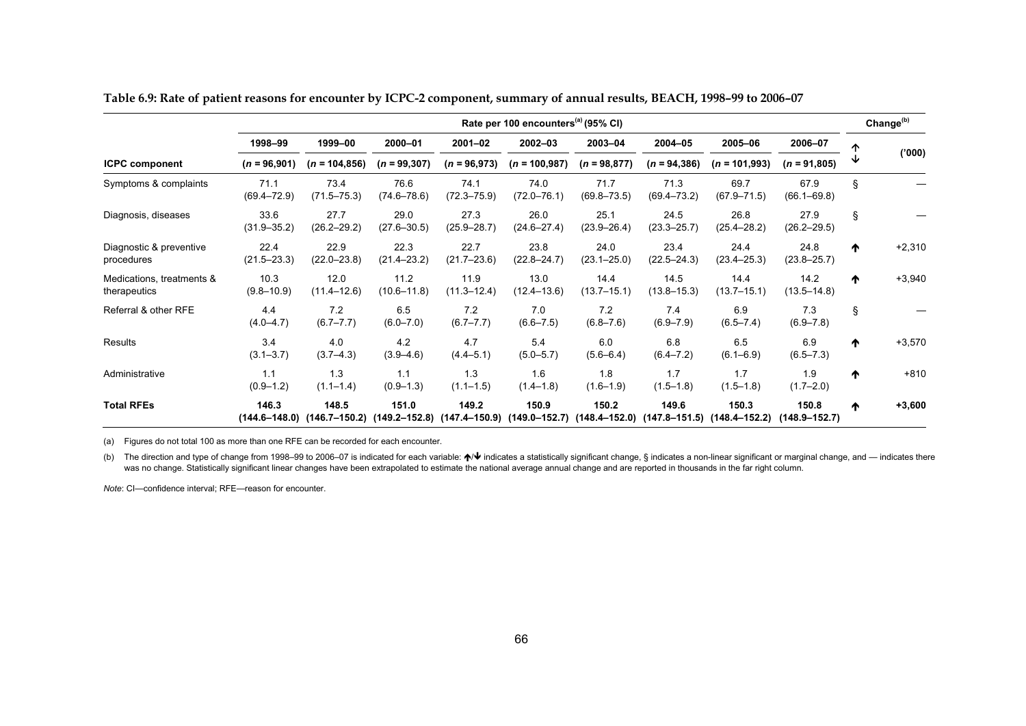|                                           | Rate per 100 encounters <sup>(a)</sup> (95% CI) |                         |                         |                         |                                                                                          |                           |                                              |                         |                            |   | Change <sup>(b)</sup> |
|-------------------------------------------|-------------------------------------------------|-------------------------|-------------------------|-------------------------|------------------------------------------------------------------------------------------|---------------------------|----------------------------------------------|-------------------------|----------------------------|---|-----------------------|
|                                           | 1998-99                                         | 1999-00                 | 2000-01                 | 2001-02                 | 2002-03                                                                                  | 2003-04<br>$(n = 98,877)$ | 2004-05<br>$(n = 94, 386)$                   | 2005-06                 | 2006-07<br>$(n = 91,805)$  | ↑ |                       |
| <b>ICPC component</b>                     | $(n = 96,901)$                                  | $(n = 104, 856)$        | $(n = 99, 307)$         | $(n = 96,973)$          | $(n = 100.987)$                                                                          |                           |                                              | $(n = 101,993)$         |                            | ↓ | (000)'                |
| Symptoms & complaints                     | 71.1<br>$(69.4 - 72.9)$                         | 73.4<br>$(71.5 - 75.3)$ | 76.6<br>$(74.6 - 78.6)$ | 74.1<br>$(72.3 - 75.9)$ | 74.0<br>$(72.0 - 76.1)$                                                                  | 71.7<br>$(69.8 - 73.5)$   | 71.3<br>$(69.4 - 73.2)$                      | 69.7<br>$(67.9 - 71.5)$ | 67.9<br>$(66.1 - 69.8)$    | § |                       |
| Diagnosis, diseases                       | 33.6<br>$(31.9 - 35.2)$                         | 27.7<br>$(26.2 - 29.2)$ | 29.0<br>$(27.6 - 30.5)$ | 27.3<br>$(25.9 - 28.7)$ | 26.0<br>$(24.6 - 27.4)$                                                                  | 25.1<br>$(23.9 - 26.4)$   | 24.5<br>$(23.3 - 25.7)$                      | 26.8<br>$(25.4 - 28.2)$ | 27.9<br>$(26.2 - 29.5)$    | § |                       |
| Diagnostic & preventive<br>procedures     | 22.4<br>$(21.5 - 23.3)$                         | 22.9<br>$(22.0 - 23.8)$ | 22.3<br>$(21.4 - 23.2)$ | 22.7<br>$(21.7 - 23.6)$ | 23.8<br>$(22.8 - 24.7)$                                                                  | 24.0<br>$(23.1 - 25.0)$   | 23.4<br>$(22.5 - 24.3)$                      | 24.4<br>$(23.4 - 25.3)$ | 24.8<br>$(23.8 - 25.7)$    | ↑ | $+2,310$              |
| Medications, treatments &<br>therapeutics | 10.3<br>$(9.8 - 10.9)$                          | 12.0<br>$(11.4 - 12.6)$ | 11.2<br>$(10.6 - 11.8)$ | 11.9<br>$(11.3 - 12.4)$ | 13.0<br>$(12.4 - 13.6)$                                                                  | 14.4<br>$(13.7 - 15.1)$   | 14.5<br>$(13.8 - 15.3)$                      | 14.4<br>$(13.7 - 15.1)$ | 14.2<br>$(13.5 - 14.8)$    | ↑ | $+3,940$              |
| Referral & other RFE                      | 4.4<br>$(4.0 - 4.7)$                            | 7.2<br>$(6.7 - 7.7)$    | 6.5<br>$(6.0 - 7.0)$    | 7.2<br>$(6.7 - 7.7)$    | 7.0<br>$(6.6 - 7.5)$                                                                     | 7.2<br>$(6.8 - 7.6)$      | 7.4<br>$(6.9 - 7.9)$                         | 6.9<br>$(6.5 - 7.4)$    | 7.3<br>$(6.9 - 7.8)$       | Ş |                       |
| Results                                   | 3.4<br>$(3.1 - 3.7)$                            | 4.0<br>$(3.7 - 4.3)$    | 4.2<br>$(3.9 - 4.6)$    | 4.7<br>$(4.4 - 5.1)$    | 5.4<br>$(5.0 - 5.7)$                                                                     | 6.0<br>$(5.6 - 6.4)$      | 6.8<br>$(6.4 - 7.2)$                         | 6.5<br>$(6.1 - 6.9)$    | 6.9<br>$(6.5 - 7.3)$       | ↑ | $+3,570$              |
| Administrative                            | 1.1<br>$(0.9 - 1.2)$                            | 1.3<br>$(1.1 - 1.4)$    | 1.1<br>$(0.9 - 1.3)$    | 1.3<br>$(1.1 - 1.5)$    | 1.6<br>$(1.4 - 1.8)$                                                                     | 1.8<br>$(1.6 - 1.9)$      | 1.7<br>$(1.5 - 1.8)$                         | 1.7<br>$(1.5 - 1.8)$    | 1.9<br>$(1.7 - 2.0)$       | ↑ | $+810$                |
| <b>Total RFEs</b>                         | 146.3                                           | 148.5                   | 151.0                   | 149.2                   | 150.9<br>$(144.6-148.0)$ $(146.7-150.2)$ $(149.2-152.8)$ $(147.4-150.9)$ $(149.0-152.7)$ | 150.2                     | 149.6<br>$(148.4 - 152.0)$ $(147.8 - 151.5)$ | 150.3<br>(148.4–152.2)  | 150.8<br>$(148.9 - 152.7)$ | ₼ | $+3,600$              |

**Table 6.9: Rate of patient reasons for encounter by ICPC-2 component, summary of annual results, BEACH, 1998–99 to 2006–07** 

(a) Figures do not total 100 as more than one RFE can be recorded for each encounter.

(b) The direction and type of change from 1998–99 to 2006–07 is indicated for each variable:  $\bigwedge\bigvee$  indicates a statistically significant change, § indicates a non-linear significant or marginal change, and — indicate was no change. Statistically significant linear changes have been extrapolated to estimate the national average annual change and are reported in thousands in the far right column.

*Note*: CI—confidence interval; RFE—reason for encounter.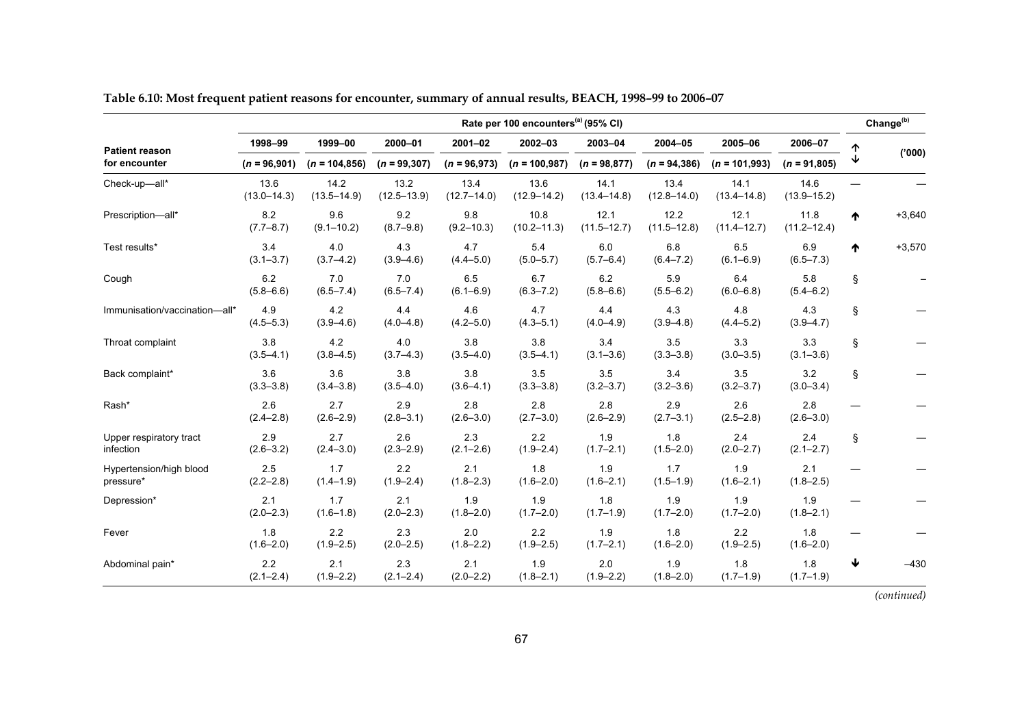|                                      | Rate per 100 encounters <sup>(a)</sup> (95% CI) |                          |                         |                         |                         |                         |                         |                         |                         |   |          |
|--------------------------------------|-------------------------------------------------|--------------------------|-------------------------|-------------------------|-------------------------|-------------------------|-------------------------|-------------------------|-------------------------|---|----------|
| <b>Patient reason</b>                | 1998-99                                         | 1999-00                  | 2000-01                 | $2001 - 02$             | 2002-03                 | 2003-04                 | 2004-05                 | 2005-06                 | 2006-07                 | ተ |          |
| for encounter                        | $(n = 96,901)$                                  | $(n = 104, 856)$         | $(n = 99, 307)$         | $(n = 96,973)$          | $(n = 100, 987)$        | $(n = 98, 877)$         | $(n = 94, 386)$         | $(n = 101,993)$         | $(n = 91,805)$          | ↓ | (000)'   |
| Check-up-all*                        | 13.6<br>$(13.0 - 14.3)$                         | 14.2<br>$(13.5 - 14.9)$  | 13.2<br>$(12.5 - 13.9)$ | 13.4<br>$(12.7 - 14.0)$ | 13.6<br>$(12.9 - 14.2)$ | 14.1<br>$(13.4 - 14.8)$ | 13.4<br>$(12.8 - 14.0)$ | 14.1<br>$(13.4 - 14.8)$ | 14.6<br>$(13.9 - 15.2)$ |   |          |
| Prescription-all*                    | 8.2<br>$(7.7 - 8.7)$                            | 9.6<br>$(9.1 - 10.2)$    | 9.2<br>$(8.7 - 9.8)$    | 9.8<br>$(9.2 - 10.3)$   | 10.8<br>$(10.2 - 11.3)$ | 12.1<br>$(11.5 - 12.7)$ | 12.2<br>$(11.5 - 12.8)$ | 12.1<br>$(11.4 - 12.7)$ | 11.8<br>$(11.2 - 12.4)$ | ᠰ | $+3,640$ |
| Test results*                        | 3.4<br>$(3.1 - 3.7)$                            | 4.0<br>$(3.7 - 4.2)$     | 4.3<br>$(3.9 - 4.6)$    | 4.7<br>$(4.4 - 5.0)$    | 5.4<br>$(5.0 - 5.7)$    | 6.0<br>$(5.7 - 6.4)$    | 6.8<br>$(6.4 - 7.2)$    | 6.5<br>$(6.1 - 6.9)$    | 6.9<br>$(6.5 - 7.3)$    | ᠰ | $+3,570$ |
| Cough                                | 6.2<br>$(5.8 - 6.6)$                            | 7.0<br>$(6.5 - 7.4)$     | 7.0<br>$(6.5 - 7.4)$    | 6.5<br>$(6.1 - 6.9)$    | 6.7<br>$(6.3 - 7.2)$    | 6.2<br>$(5.8 - 6.6)$    | 5.9<br>$(5.5 - 6.2)$    | 6.4<br>$(6.0 - 6.8)$    | 5.8<br>$(5.4 - 6.2)$    | Ş |          |
| Immunisation/vaccination-all*        | 4.9<br>$(4.5 - 5.3)$                            | 4.2<br>$(3.9 - 4.6)$     | 4.4<br>$(4.0 - 4.8)$    | 4.6<br>$(4.2 - 5.0)$    | 4.7<br>$(4.3 - 5.1)$    | 4.4<br>$(4.0 - 4.9)$    | 4.3<br>$(3.9 - 4.8)$    | 4.8<br>$(4.4 - 5.2)$    | 4.3<br>$(3.9 - 4.7)$    | Ş |          |
| Throat complaint                     | 3.8<br>$(3.5 - 4.1)$                            | 4.2<br>$(3.8 - 4.5)$     | 4.0<br>$(3.7 - 4.3)$    | 3.8<br>$(3.5 - 4.0)$    | 3.8<br>$(3.5 - 4.1)$    | 3.4<br>$(3.1 - 3.6)$    | 3.5<br>$(3.3 - 3.8)$    | 3.3<br>$(3.0 - 3.5)$    | 3.3<br>$(3.1 - 3.6)$    | Ş |          |
| Back complaint*                      | 3.6<br>$(3.3 - 3.8)$                            | 3.6<br>$(3.4 - 3.8)$     | 3.8<br>$(3.5 - 4.0)$    | 3.8<br>$(3.6 - 4.1)$    | 3.5<br>$(3.3 - 3.8)$    | 3.5<br>$(3.2 - 3.7)$    | 3.4<br>$(3.2 - 3.6)$    | 3.5<br>$(3.2 - 3.7)$    | 3.2<br>$(3.0 - 3.4)$    | § |          |
| Rash*                                | 2.6<br>$(2.4 - 2.8)$                            | 2.7<br>$(2.6 - 2.9)$     | 2.9<br>$(2.8 - 3.1)$    | 2.8<br>$(2.6 - 3.0)$    | 2.8<br>$(2.7 - 3.0)$    | 2.8<br>$(2.6 - 2.9)$    | 2.9<br>$(2.7 - 3.1)$    | 2.6<br>$(2.5 - 2.8)$    | 2.8<br>$(2.6 - 3.0)$    |   |          |
| Upper respiratory tract<br>infection | 2.9<br>$(2.6 - 3.2)$                            | 2.7<br>$(2.4 - 3.0)$     | 2.6<br>$(2.3 - 2.9)$    | 2.3<br>$(2.1 - 2.6)$    | 2.2<br>$(1.9 - 2.4)$    | 1.9<br>$(1.7 - 2.1)$    | 1.8<br>$(1.5 - 2.0)$    | 2.4<br>$(2.0 - 2.7)$    | 2.4<br>$(2.1 - 2.7)$    | Ş |          |
| Hypertension/high blood<br>pressure* | 2.5<br>$(2.2 - 2.8)$                            | 1.7<br>$(1.4 - 1.9)$     | 2.2<br>$(1.9 - 2.4)$    | 2.1<br>$(1.8 - 2.3)$    | 1.8<br>$(1.6 - 2.0)$    | 1.9<br>$(1.6 - 2.1)$    | 1.7<br>$(1.5 - 1.9)$    | 1.9<br>$(1.6 - 2.1)$    | 2.1<br>$(1.8 - 2.5)$    |   |          |
| Depression*                          | 2.1<br>$(2.0 - 2.3)$                            | 1.7<br>$(1.6 - 1.8)$     | 2.1<br>$(2.0 - 2.3)$    | 1.9<br>$(1.8 - 2.0)$    | 1.9<br>$(1.7 - 2.0)$    | 1.8<br>$(1.7 - 1.9)$    | 1.9<br>$(1.7 - 2.0)$    | 1.9<br>$(1.7 - 2.0)$    | 1.9<br>$(1.8 - 2.1)$    |   |          |
| Fever                                | 1.8<br>$(1.6 - 2.0)$                            | $2.2\,$<br>$(1.9 - 2.5)$ | 2.3<br>$(2.0 - 2.5)$    | 2.0<br>$(1.8 - 2.2)$    | 2.2<br>$(1.9 - 2.5)$    | 1.9<br>$(1.7 - 2.1)$    | 1.8<br>$(1.6 - 2.0)$    | 2.2<br>$(1.9 - 2.5)$    | 1.8<br>$(1.6 - 2.0)$    |   |          |
| Abdominal pain*                      | 2.2<br>$(2.1 - 2.4)$                            | 2.1<br>$(1.9 - 2.2)$     | 2.3<br>$(2.1 - 2.4)$    | 2.1<br>$(2.0 - 2.2)$    | 1.9<br>$(1.8 - 2.1)$    | 2.0<br>$(1.9 - 2.2)$    | 1.9<br>$(1.8 - 2.0)$    | 1.8<br>$(1.7 - 1.9)$    | 1.8<br>$(1.7 - 1.9)$    | ↓ | $-430$   |

**Table 6.10: Most frequent patient reasons for encounter, summary of annual results, BEACH, 1998–99 to 2006–07**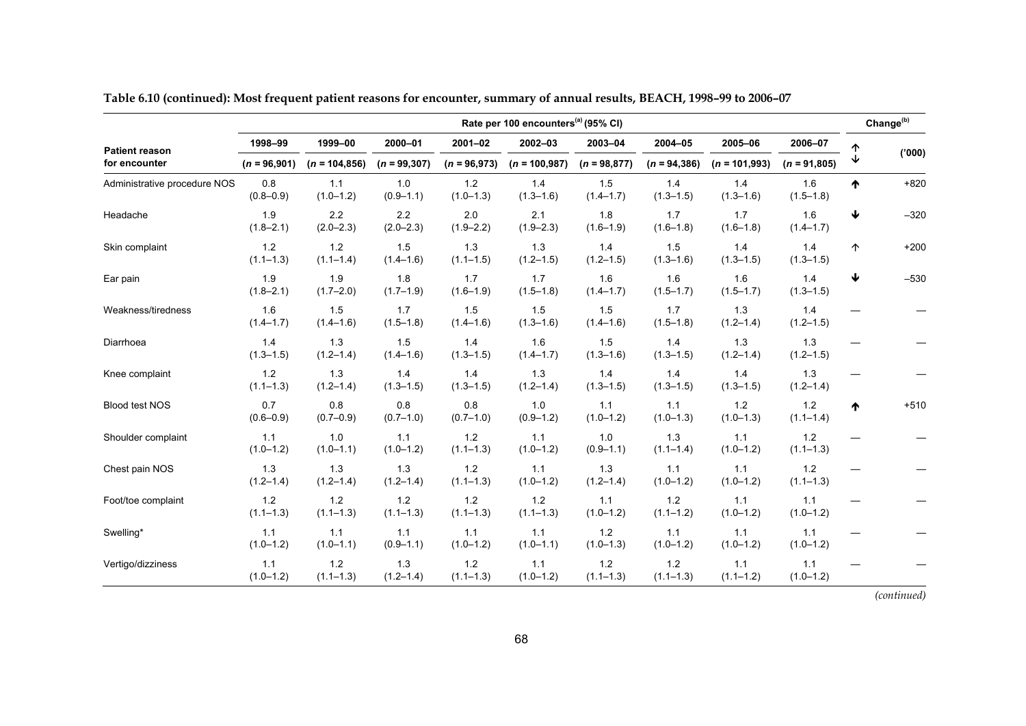|                              | Rate per 100 encounters <sup>(a)</sup> (95% CI) |                          |                        |                        |                        |                        |                        |                        |                      |   |        |
|------------------------------|-------------------------------------------------|--------------------------|------------------------|------------------------|------------------------|------------------------|------------------------|------------------------|----------------------|---|--------|
| <b>Patient reason</b>        | 1998-99                                         | 1999-00                  | 2000-01                | $2001 - 02$            | 2002-03                | 2003-04                | 2004-05                | 2005-06                | 2006-07              | ተ |        |
| for encounter                | $(n = 96,901)$                                  | $(n = 104, 856)$         | $(n = 99, 307)$        | $(n = 96,973)$         | $(n = 100, 987)$       | $(n = 98,877)$         | $(n = 94, 386)$        | $(n = 101,993)$        | $(n = 91,805)$       | ↓ | (000)  |
| Administrative procedure NOS | 0.8<br>$(0.8 - 0.9)$                            | $1.1$<br>$(1.0 - 1.2)$   | 1.0<br>$(0.9 - 1.1)$   | 1.2<br>$(1.0 - 1.3)$   | 1.4<br>$(1.3 - 1.6)$   | 1.5<br>$(1.4 - 1.7)$   | 1.4<br>$(1.3 - 1.5)$   | 1.4<br>$(1.3 - 1.6)$   | 1.6<br>$(1.5 - 1.8)$ | ↑ | $+820$ |
| Headache                     | 1.9<br>$(1.8 - 2.1)$                            | $2.2\,$<br>$(2.0 - 2.3)$ | 2.2<br>$(2.0 - 2.3)$   | 2.0<br>$(1.9 - 2.2)$   | 2.1<br>$(1.9 - 2.3)$   | 1.8<br>$(1.6 - 1.9)$   | 1.7<br>$(1.6 - 1.8)$   | 1.7<br>$(1.6 - 1.8)$   | 1.6<br>$(1.4 - 1.7)$ | ₩ | $-320$ |
| Skin complaint               | 1.2<br>$(1.1 - 1.3)$                            | $1.2$<br>$(1.1 - 1.4)$   | 1.5<br>$(1.4 - 1.6)$   | 1.3<br>$(1.1 - 1.5)$   | 1.3<br>$(1.2 - 1.5)$   | 1.4<br>$(1.2 - 1.5)$   | 1.5<br>$(1.3 - 1.6)$   | 1.4<br>$(1.3 - 1.5)$   | 1.4<br>$(1.3 - 1.5)$ | 个 | $+200$ |
| Ear pain                     | 1.9<br>$(1.8 - 2.1)$                            | 1.9<br>$(1.7 - 2.0)$     | 1.8<br>$(1.7 - 1.9)$   | 1.7<br>$(1.6 - 1.9)$   | 1.7<br>$(1.5 - 1.8)$   | 1.6<br>$(1.4 - 1.7)$   | 1.6<br>$(1.5 - 1.7)$   | 1.6<br>$(1.5 - 1.7)$   | 1.4<br>$(1.3 - 1.5)$ | ₩ | $-530$ |
| Weakness/tiredness           | 1.6<br>$(1.4 - 1.7)$                            | 1.5<br>$(1.4 - 1.6)$     | 1.7<br>$(1.5 - 1.8)$   | 1.5<br>$(1.4 - 1.6)$   | 1.5<br>$(1.3 - 1.6)$   | 1.5<br>$(1.4 - 1.6)$   | 1.7<br>$(1.5 - 1.8)$   | 1.3<br>$(1.2 - 1.4)$   | 1.4<br>$(1.2 - 1.5)$ |   |        |
| Diarrhoea                    | 1.4<br>$(1.3 - 1.5)$                            | 1.3<br>$(1.2 - 1.4)$     | 1.5<br>$(1.4 - 1.6)$   | 1.4<br>$(1.3 - 1.5)$   | 1.6<br>$(1.4 - 1.7)$   | 1.5<br>$(1.3 - 1.6)$   | 1.4<br>$(1.3 - 1.5)$   | 1.3<br>$(1.2 - 1.4)$   | 1.3<br>$(1.2 - 1.5)$ |   |        |
| Knee complaint               | $1.2$<br>$(1.1 - 1.3)$                          | 1.3<br>$(1.2 - 1.4)$     | 1.4<br>$(1.3 - 1.5)$   | 1.4<br>$(1.3 - 1.5)$   | 1.3<br>$(1.2 - 1.4)$   | 1.4<br>$(1.3 - 1.5)$   | 1.4<br>$(1.3 - 1.5)$   | 1.4<br>$(1.3 - 1.5)$   | 1.3<br>$(1.2 - 1.4)$ |   |        |
| Blood test NOS               | 0.7<br>$(0.6 - 0.9)$                            | 0.8<br>$(0.7 - 0.9)$     | 0.8<br>$(0.7 - 1.0)$   | 0.8<br>$(0.7 - 1.0)$   | 1.0<br>$(0.9 - 1.2)$   | 1.1<br>$(1.0 - 1.2)$   | 1.1<br>$(1.0 - 1.3)$   | $1.2$<br>$(1.0 - 1.3)$ | 1.2<br>$(1.1 - 1.4)$ | ᠰ | $+510$ |
| Shoulder complaint           | 1.1<br>$(1.0 - 1.2)$                            | 1.0<br>$(1.0 - 1.1)$     | 1.1<br>$(1.0 - 1.2)$   | $1.2$<br>$(1.1 - 1.3)$ | 1.1<br>$(1.0 - 1.2)$   | 1.0<br>$(0.9 - 1.1)$   | 1.3<br>$(1.1 - 1.4)$   | 1.1<br>$(1.0 - 1.2)$   | 1.2<br>$(1.1 - 1.3)$ |   |        |
| Chest pain NOS               | 1.3<br>$(1.2 - 1.4)$                            | 1.3<br>$(1.2 - 1.4)$     | 1.3<br>$(1.2 - 1.4)$   | 1.2<br>$(1.1 - 1.3)$   | 1.1<br>$(1.0 - 1.2)$   | 1.3<br>$(1.2 - 1.4)$   | 1.1<br>$(1.0 - 1.2)$   | 1.1<br>$(1.0 - 1.2)$   | 1.2<br>$(1.1 - 1.3)$ |   |        |
| Foot/toe complaint           | $1.2$<br>$(1.1 - 1.3)$                          | $1.2$<br>$(1.1 - 1.3)$   | $1.2$<br>$(1.1 - 1.3)$ | $1.2$<br>$(1.1 - 1.3)$ | $1.2$<br>$(1.1 - 1.3)$ | $1.1$<br>$(1.0 - 1.2)$ | 1.2<br>$(1.1 - 1.2)$   | $1.1$<br>$(1.0 - 1.2)$ | 1.1<br>$(1.0 - 1.2)$ |   |        |
| Swelling*                    | 1.1<br>$(1.0 - 1.2)$                            | 1.1<br>$(1.0 - 1.1)$     | 1.1<br>$(0.9 - 1.1)$   | 1.1<br>$(1.0 - 1.2)$   | 1.1<br>$(1.0 - 1.1)$   | 1.2<br>$(1.0 - 1.3)$   | 1.1<br>$(1.0 - 1.2)$   | 1.1<br>$(1.0 - 1.2)$   | 1.1<br>$(1.0 - 1.2)$ |   |        |
| Vertigo/dizziness            | 1.1<br>$(1.0 - 1.2)$                            | $1.2$<br>$(1.1 - 1.3)$   | $1.3$<br>$(1.2 - 1.4)$ | $1.2$<br>$(1.1 - 1.3)$ | 1.1<br>$(1.0 - 1.2)$   | $1.2$<br>$(1.1 - 1.3)$ | $1.2$<br>$(1.1 - 1.3)$ | 1.1<br>$(1.1 - 1.2)$   | 1.1<br>$(1.0 - 1.2)$ |   |        |